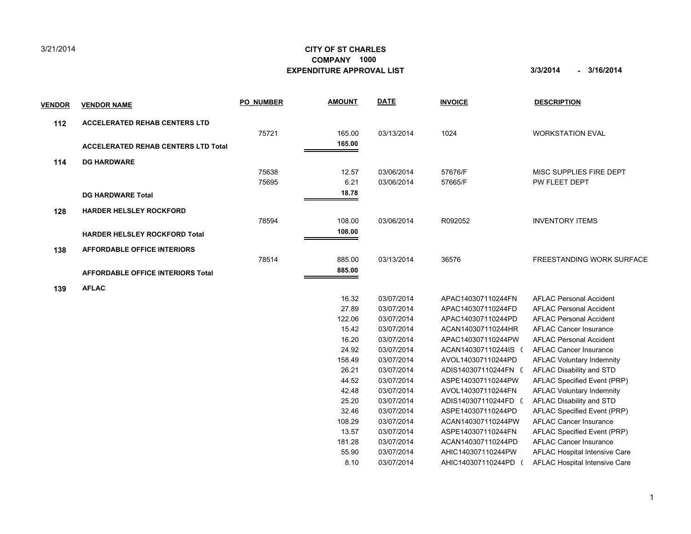## 3/21/2014

## **CITY OF ST CHARLES EXPENDITURE APPROVAL LIST 3/3/2014 - 3/16/2014 COMPANY 1000**

| <u>VENDOR</u> | <b>VENDOR NAME</b>                         | <b>PO NUMBER</b> | <b>AMOUNT</b> | <b>DATE</b> | <b>INVOICE</b>     | <b>DESCRIPTION</b>               |
|---------------|--------------------------------------------|------------------|---------------|-------------|--------------------|----------------------------------|
| 112           | <b>ACCELERATED REHAB CENTERS LTD</b>       |                  |               |             |                    |                                  |
|               |                                            | 75721            | 165.00        | 03/13/2014  | 1024               | <b>WORKSTATION EVAL</b>          |
|               | <b>ACCELERATED REHAB CENTERS LTD Total</b> |                  | 165.00        |             |                    |                                  |
| 114           | <b>DG HARDWARE</b>                         |                  |               |             |                    |                                  |
|               |                                            | 75638            | 12.57         | 03/06/2014  | 57676/F            | MISC SUPPLIES FIRE DEPT          |
|               |                                            | 75695            | 6.21          | 03/06/2014  | 57665/F            | PW FLEET DEPT                    |
|               | <b>DG HARDWARE Total</b>                   |                  | 18.78         |             |                    |                                  |
| 128           | <b>HARDER HELSLEY ROCKFORD</b>             |                  |               |             |                    |                                  |
|               |                                            | 78594            | 108.00        | 03/06/2014  | R092052            | <b>INVENTORY ITEMS</b>           |
|               | <b>HARDER HELSLEY ROCKFORD Total</b>       |                  | 108.00        |             |                    |                                  |
| 138           | <b>AFFORDABLE OFFICE INTERIORS</b>         |                  |               |             |                    |                                  |
|               |                                            | 78514            | 885.00        | 03/13/2014  | 36576              | <b>FREESTANDING WORK SURFACE</b> |
|               | <b>AFFORDABLE OFFICE INTERIORS Total</b>   |                  | 885.00        |             |                    |                                  |
| 139           | <b>AFLAC</b>                               |                  |               |             |                    |                                  |
|               |                                            |                  | 16.32         | 03/07/2014  | APAC140307110244FN | <b>AFLAC Personal Accident</b>   |
|               |                                            |                  | 27.89         | 03/07/2014  | APAC140307110244FD | <b>AFLAC Personal Accident</b>   |
|               |                                            |                  | 122.06        | 03/07/2014  | APAC140307110244PD | <b>AFLAC Personal Accident</b>   |
|               |                                            |                  | 15.42         | 03/07/2014  | ACAN140307110244HR | AFLAC Cancer Insurance           |
|               |                                            |                  | 16.20         | 03/07/2014  | APAC140307110244PW | <b>AFLAC Personal Accident</b>   |

| 108.29 | 03/07/2014 | ACAN140307110244PW | <b>AFLAC Cancer Insurance</b>        |
|--------|------------|--------------------|--------------------------------------|
| 13.57  | 03/07/2014 | ASPE140307110244FN | AFLAC Specified Event (PRP)          |
| 181.28 | 03/07/2014 | ACAN140307110244PD | <b>AFLAC Cancer Insurance</b>        |
| 55.90  | 03/07/2014 | AHIC140307110244PW | AFLAC Hospital Intensive Care        |
| 8.10   | 03/07/2014 | AHIC140307110244PD | <b>AFLAC Hospital Intensive Care</b> |
|        |            |                    |                                      |

 24.92 03/07/2014 ACAN140307110244IS 0 AFLAC Cancer Insurance 158.49 03/07/2014 AVOL140307110244PD AFLAC Voluntary Indemnity 26.21 03/07/2014 ADIS140307110244FN ( AFLAC Disability and STD 44.52 03/07/2014 ASPE140307110244PW 0 AFLAC Specified Event (PRP) 42.48 03/07/2014 AVOL140307110244FN AFLAC Voluntary Indemnity 25.20 03/07/2014 ADIS140307110244FD ( AFLAC Disability and STD 32.46 03/07/2014 ASPE140307110244PD AFLAC Specified Event (PRP)

1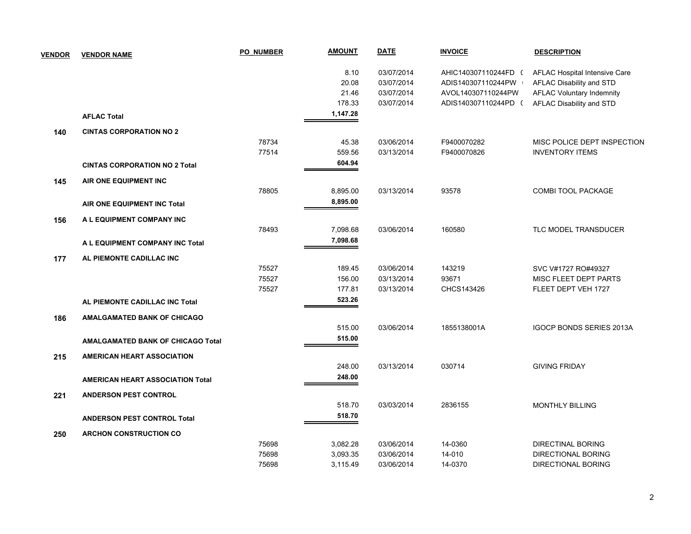| <b>VENDOR</b> | <b>VENDOR NAME</b>                       | <b>PO NUMBER</b> | <b>AMOUNT</b> | <b>DATE</b> | <b>INVOICE</b>       | <b>DESCRIPTION</b>               |
|---------------|------------------------------------------|------------------|---------------|-------------|----------------------|----------------------------------|
|               |                                          |                  | 8.10          | 03/07/2014  | AHIC140307110244FD ( | AFLAC Hospital Intensive Care    |
|               |                                          |                  | 20.08         | 03/07/2014  | ADIS140307110244PW   | AFLAC Disability and STD         |
|               |                                          |                  | 21.46         | 03/07/2014  | AVOL140307110244PW   | <b>AFLAC Voluntary Indemnity</b> |
|               |                                          |                  | 178.33        | 03/07/2014  | ADIS140307110244PD ( | AFLAC Disability and STD         |
|               | <b>AFLAC Total</b>                       |                  | 1,147.28      |             |                      |                                  |
| 140           | <b>CINTAS CORPORATION NO 2</b>           |                  |               |             |                      |                                  |
|               |                                          | 78734            | 45.38         | 03/06/2014  | F9400070282          | MISC POLICE DEPT INSPECTION      |
|               |                                          | 77514            | 559.56        | 03/13/2014  | F9400070826          | <b>INVENTORY ITEMS</b>           |
|               | <b>CINTAS CORPORATION NO 2 Total</b>     |                  | 604.94        |             |                      |                                  |
| 145           | AIR ONE EQUIPMENT INC                    |                  |               |             |                      |                                  |
|               |                                          | 78805            | 8,895.00      | 03/13/2014  | 93578                | COMBI TOOL PACKAGE               |
|               | AIR ONE EQUIPMENT INC Total              |                  | 8,895.00      |             |                      |                                  |
| 156           | A L EQUIPMENT COMPANY INC                |                  |               |             |                      |                                  |
|               |                                          | 78493            | 7,098.68      | 03/06/2014  | 160580               | TLC MODEL TRANSDUCER             |
|               | A L EQUIPMENT COMPANY INC Total          |                  | 7,098.68      |             |                      |                                  |
| 177           | AL PIEMONTE CADILLAC INC                 |                  |               |             |                      |                                  |
|               |                                          | 75527            | 189.45        | 03/06/2014  | 143219               | SVC V#1727 RO#49327              |
|               |                                          | 75527            | 156.00        | 03/13/2014  | 93671                | MISC FLEET DEPT PARTS            |
|               |                                          | 75527            | 177.81        | 03/13/2014  | CHCS143426           | FLEET DEPT VEH 1727              |
|               | AL PIEMONTE CADILLAC INC Total           |                  | 523.26        |             |                      |                                  |
| 186           | <b>AMALGAMATED BANK OF CHICAGO</b>       |                  |               |             |                      |                                  |
|               |                                          |                  | 515.00        | 03/06/2014  | 1855138001A          | <b>IGOCP BONDS SERIES 2013A</b>  |
|               | <b>AMALGAMATED BANK OF CHICAGO Total</b> |                  | 515.00        |             |                      |                                  |
| 215           | <b>AMERICAN HEART ASSOCIATION</b>        |                  |               |             |                      |                                  |
|               |                                          |                  | 248.00        | 03/13/2014  | 030714               | <b>GIVING FRIDAY</b>             |
|               | <b>AMERICAN HEART ASSOCIATION Total</b>  |                  | 248.00        |             |                      |                                  |
| 221           | <b>ANDERSON PEST CONTROL</b>             |                  |               |             |                      |                                  |
|               |                                          |                  | 518.70        | 03/03/2014  | 2836155              | <b>MONTHLY BILLING</b>           |
|               | <b>ANDERSON PEST CONTROL Total</b>       |                  | 518.70        |             |                      |                                  |
| 250           | <b>ARCHON CONSTRUCTION CO</b>            |                  |               |             |                      |                                  |
|               |                                          | 75698            | 3,082.28      | 03/06/2014  | 14-0360              | <b>DIRECTINAL BORING</b>         |
|               |                                          | 75698            | 3,093.35      | 03/06/2014  | 14-010               | <b>DIRECTIONAL BORING</b>        |
|               |                                          | 75698            | 3,115.49      | 03/06/2014  | 14-0370              | <b>DIRECTIONAL BORING</b>        |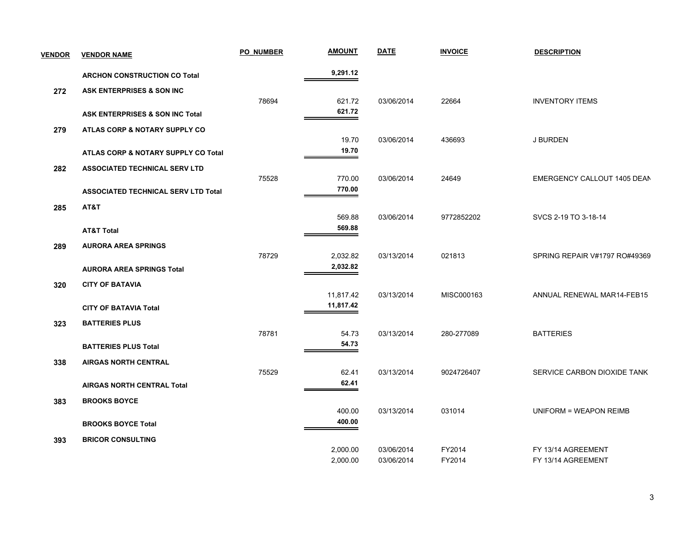| <b>VENDOR</b> | <b>VENDOR NAME</b>                         | <b>PO NUMBER</b> | <b>AMOUNT</b>        | <b>DATE</b>              | <b>INVOICE</b>   | <b>DESCRIPTION</b>                       |
|---------------|--------------------------------------------|------------------|----------------------|--------------------------|------------------|------------------------------------------|
|               | <b>ARCHON CONSTRUCTION CO Total</b>        |                  | 9,291.12             |                          |                  |                                          |
| 272           | ASK ENTERPRISES & SON INC                  |                  |                      |                          |                  |                                          |
|               |                                            | 78694            | 621.72               | 03/06/2014               | 22664            | <b>INVENTORY ITEMS</b>                   |
|               | ASK ENTERPRISES & SON INC Total            |                  | 621.72               |                          |                  |                                          |
| 279           | ATLAS CORP & NOTARY SUPPLY CO              |                  |                      |                          |                  |                                          |
|               |                                            |                  | 19.70                | 03/06/2014               | 436693           | J BURDEN                                 |
|               | ATLAS CORP & NOTARY SUPPLY CO Total        |                  | 19.70                |                          |                  |                                          |
| 282           | <b>ASSOCIATED TECHNICAL SERV LTD</b>       |                  |                      |                          |                  |                                          |
|               |                                            | 75528            | 770.00               | 03/06/2014               | 24649            | EMERGENCY CALLOUT 1405 DEAN              |
|               | <b>ASSOCIATED TECHNICAL SERV LTD Total</b> |                  | 770.00               |                          |                  |                                          |
| 285           | AT&T                                       |                  |                      |                          |                  |                                          |
|               |                                            |                  | 569.88               | 03/06/2014               | 9772852202       | SVCS 2-19 TO 3-18-14                     |
|               | <b>AT&amp;T Total</b>                      |                  | 569.88               |                          |                  |                                          |
| 289           | <b>AURORA AREA SPRINGS</b>                 |                  |                      |                          |                  |                                          |
|               |                                            | 78729            | 2,032.82             | 03/13/2014               | 021813           | SPRING REPAIR V#1797 RO#49369            |
|               | <b>AURORA AREA SPRINGS Total</b>           |                  | 2,032.82             |                          |                  |                                          |
| 320           | <b>CITY OF BATAVIA</b>                     |                  |                      |                          |                  |                                          |
|               |                                            |                  | 11,817.42            | 03/13/2014               | MISC000163       | ANNUAL RENEWAL MAR14-FEB15               |
|               | <b>CITY OF BATAVIA Total</b>               |                  | 11,817.42            |                          |                  |                                          |
| 323           | <b>BATTERIES PLUS</b>                      |                  |                      |                          |                  |                                          |
|               |                                            | 78781            | 54.73                | 03/13/2014               | 280-277089       | <b>BATTERIES</b>                         |
|               | <b>BATTERIES PLUS Total</b>                |                  | 54.73                |                          |                  |                                          |
| 338           | <b>AIRGAS NORTH CENTRAL</b>                |                  |                      |                          |                  |                                          |
|               |                                            | 75529            | 62.41<br>62.41       | 03/13/2014               | 9024726407       | SERVICE CARBON DIOXIDE TANK              |
|               | <b>AIRGAS NORTH CENTRAL Total</b>          |                  |                      |                          |                  |                                          |
| 383           | <b>BROOKS BOYCE</b>                        |                  |                      |                          |                  |                                          |
|               |                                            |                  | 400.00<br>400.00     | 03/13/2014               | 031014           | UNIFORM = WEAPON REIMB                   |
|               | <b>BROOKS BOYCE Total</b>                  |                  |                      |                          |                  |                                          |
| 393           | <b>BRICOR CONSULTING</b>                   |                  |                      |                          |                  |                                          |
|               |                                            |                  | 2,000.00<br>2,000.00 | 03/06/2014<br>03/06/2014 | FY2014<br>FY2014 | FY 13/14 AGREEMENT<br>FY 13/14 AGREEMENT |
|               |                                            |                  |                      |                          |                  |                                          |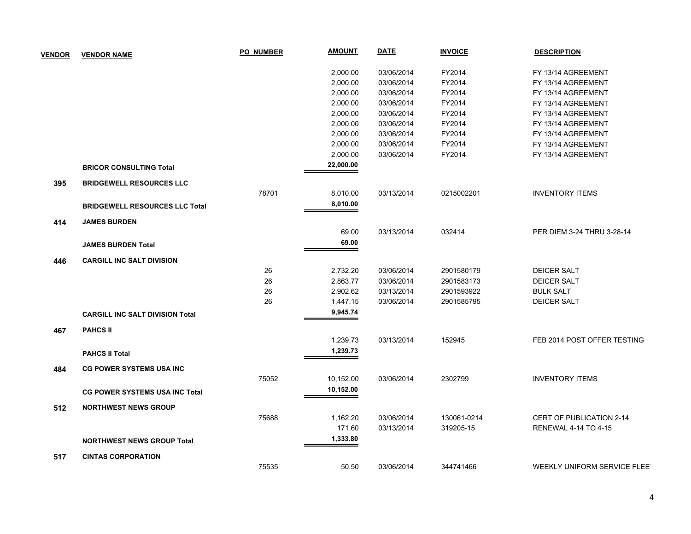| <b>VENDOR</b> | <b>VENDOR NAME</b>                     | <b>PO NUMBER</b> | <b>AMOUNT</b> | <b>DATE</b> | <b>INVOICE</b> | <b>DESCRIPTION</b>              |
|---------------|----------------------------------------|------------------|---------------|-------------|----------------|---------------------------------|
|               |                                        |                  | 2,000.00      | 03/06/2014  | FY2014         | FY 13/14 AGREEMENT              |
|               |                                        |                  | 2,000.00      | 03/06/2014  | FY2014         | FY 13/14 AGREEMENT              |
|               |                                        |                  | 2,000.00      | 03/06/2014  | FY2014         | FY 13/14 AGREEMENT              |
|               |                                        |                  | 2,000.00      | 03/06/2014  | FY2014         | FY 13/14 AGREEMENT              |
|               |                                        |                  | 2,000.00      | 03/06/2014  | FY2014         | FY 13/14 AGREEMENT              |
|               |                                        |                  | 2,000.00      | 03/06/2014  | FY2014         | FY 13/14 AGREEMENT              |
|               |                                        |                  | 2,000.00      | 03/06/2014  | FY2014         | FY 13/14 AGREEMENT              |
|               |                                        |                  | 2,000.00      | 03/06/2014  | FY2014         | FY 13/14 AGREEMENT              |
|               |                                        |                  | 2,000.00      | 03/06/2014  | FY2014         | FY 13/14 AGREEMENT              |
|               | <b>BRICOR CONSULTING Total</b>         |                  | 22,000.00     |             |                |                                 |
| 395           | <b>BRIDGEWELL RESOURCES LLC</b>        |                  |               |             |                |                                 |
|               |                                        | 78701            | 8,010.00      | 03/13/2014  | 0215002201     | <b>INVENTORY ITEMS</b>          |
|               | <b>BRIDGEWELL RESOURCES LLC Total</b>  |                  | 8,010.00      |             |                |                                 |
| 414           | <b>JAMES BURDEN</b>                    |                  |               |             |                |                                 |
|               |                                        |                  | 69.00         | 03/13/2014  | 032414         | PER DIEM 3-24 THRU 3-28-14      |
|               | <b>JAMES BURDEN Total</b>              |                  | 69.00         |             |                |                                 |
| 446           | <b>CARGILL INC SALT DIVISION</b>       |                  |               |             |                |                                 |
|               |                                        | 26               | 2,732.20      | 03/06/2014  | 2901580179     | <b>DEICER SALT</b>              |
|               |                                        | 26               | 2,863.77      | 03/06/2014  | 2901583173     | <b>DEICER SALT</b>              |
|               |                                        | 26               | 2,902.62      | 03/13/2014  | 2901593922     | <b>BULK SALT</b>                |
|               |                                        | 26               | 1,447.15      | 03/06/2014  | 2901585795     | <b>DEICER SALT</b>              |
|               | <b>CARGILL INC SALT DIVISION Total</b> |                  | 9,945.74      |             |                |                                 |
| 467           | <b>PAHCS II</b>                        |                  |               |             |                |                                 |
|               |                                        |                  | 1,239.73      | 03/13/2014  | 152945         | FEB 2014 POST OFFER TESTING     |
|               | <b>PAHCS II Total</b>                  |                  | 1,239.73      |             |                |                                 |
| 484           | <b>CG POWER SYSTEMS USA INC</b>        |                  |               |             |                |                                 |
|               |                                        | 75052            | 10,152.00     | 03/06/2014  | 2302799        | <b>INVENTORY ITEMS</b>          |
|               | <b>CG POWER SYSTEMS USA INC Total</b>  |                  | 10,152.00     |             |                |                                 |
| 512           | <b>NORTHWEST NEWS GROUP</b>            |                  |               |             |                |                                 |
|               |                                        | 75688            | 1,162.20      | 03/06/2014  | 130061-0214    | <b>CERT OF PUBLICATION 2-14</b> |
|               |                                        |                  | 171.60        | 03/13/2014  | 319205-15      | <b>RENEWAL 4-14 TO 4-15</b>     |
|               | <b>NORTHWEST NEWS GROUP Total</b>      |                  | 1,333.80      |             |                |                                 |
| 517           | <b>CINTAS CORPORATION</b>              |                  |               |             |                |                                 |
|               |                                        | 75535            | 50.50         | 03/06/2014  | 344741466      | WEEKLY UNIFORM SERVICE FLEE     |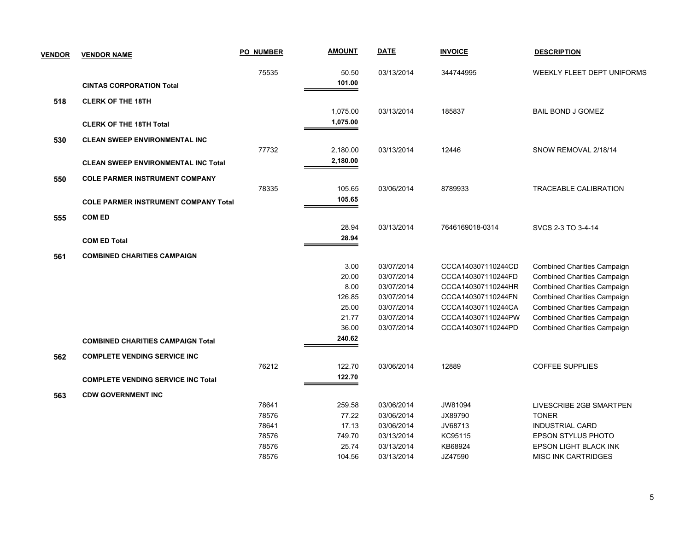| <b>VENDOR</b> | <b>VENDOR NAME</b>                          | <b>PO NUMBER</b> | <b>AMOUNT</b> | <b>DATE</b> | <b>INVOICE</b>     | <b>DESCRIPTION</b>                 |
|---------------|---------------------------------------------|------------------|---------------|-------------|--------------------|------------------------------------|
|               |                                             | 75535            | 50.50         | 03/13/2014  | 344744995          | WEEKLY FLEET DEPT UNIFORMS         |
|               | <b>CINTAS CORPORATION Total</b>             |                  | 101.00        |             |                    |                                    |
| 518           | <b>CLERK OF THE 18TH</b>                    |                  |               |             |                    |                                    |
|               |                                             |                  | 1,075.00      | 03/13/2014  | 185837             | <b>BAIL BOND J GOMEZ</b>           |
|               | <b>CLERK OF THE 18TH Total</b>              |                  | 1,075.00      |             |                    |                                    |
| 530           | <b>CLEAN SWEEP ENVIRONMENTAL INC</b>        |                  |               |             |                    |                                    |
|               |                                             | 77732            | 2,180.00      | 03/13/2014  | 12446              | SNOW REMOVAL 2/18/14               |
|               | <b>CLEAN SWEEP ENVIRONMENTAL INC Total</b>  |                  | 2,180.00      |             |                    |                                    |
| 550           | <b>COLE PARMER INSTRUMENT COMPANY</b>       |                  |               |             |                    |                                    |
|               |                                             | 78335            | 105.65        | 03/06/2014  | 8789933            | <b>TRACEABLE CALIBRATION</b>       |
|               | <b>COLE PARMER INSTRUMENT COMPANY Total</b> |                  | 105.65        |             |                    |                                    |
| 555           | <b>COM ED</b>                               |                  |               |             |                    |                                    |
|               |                                             |                  | 28.94         | 03/13/2014  | 7646169018-0314    | SVCS 2-3 TO 3-4-14                 |
|               | <b>COM ED Total</b>                         |                  | 28.94         |             |                    |                                    |
| 561           | <b>COMBINED CHARITIES CAMPAIGN</b>          |                  |               |             |                    |                                    |
|               |                                             |                  | 3.00          | 03/07/2014  | CCCA140307110244CD | <b>Combined Charities Campaign</b> |
|               |                                             |                  | 20.00         | 03/07/2014  | CCCA140307110244FD | <b>Combined Charities Campaign</b> |
|               |                                             |                  | 8.00          | 03/07/2014  | CCCA140307110244HR | <b>Combined Charities Campaign</b> |
|               |                                             |                  | 126.85        | 03/07/2014  | CCCA140307110244FN | <b>Combined Charities Campaign</b> |
|               |                                             |                  | 25.00         | 03/07/2014  | CCCA140307110244CA | <b>Combined Charities Campaign</b> |
|               |                                             |                  | 21.77         | 03/07/2014  | CCCA140307110244PW | <b>Combined Charities Campaign</b> |
|               |                                             |                  | 36.00         | 03/07/2014  | CCCA140307110244PD | <b>Combined Charities Campaign</b> |
|               | <b>COMBINED CHARITIES CAMPAIGN Total</b>    |                  | 240.62        |             |                    |                                    |
| 562           | <b>COMPLETE VENDING SERVICE INC</b>         |                  |               |             |                    |                                    |
|               |                                             | 76212            | 122.70        | 03/06/2014  | 12889              | <b>COFFEE SUPPLIES</b>             |
|               | <b>COMPLETE VENDING SERVICE INC Total</b>   |                  | 122.70        |             |                    |                                    |
| 563           | <b>CDW GOVERNMENT INC</b>                   |                  |               |             |                    |                                    |
|               |                                             | 78641            | 259.58        | 03/06/2014  | JW81094            | LIVESCRIBE 2GB SMARTPEN            |
|               |                                             | 78576            | 77.22         | 03/06/2014  | JX89790            | <b>TONER</b>                       |
|               |                                             | 78641            | 17.13         | 03/06/2014  | JV68713            | <b>INDUSTRIAL CARD</b>             |
|               |                                             | 78576            | 749.70        | 03/13/2014  | KC95115            | EPSON STYLUS PHOTO                 |
|               |                                             | 78576            | 25.74         | 03/13/2014  | KB68924            | EPSON LIGHT BLACK INK              |
|               |                                             | 78576            | 104.56        | 03/13/2014  | JZ47590            | <b>MISC INK CARTRIDGES</b>         |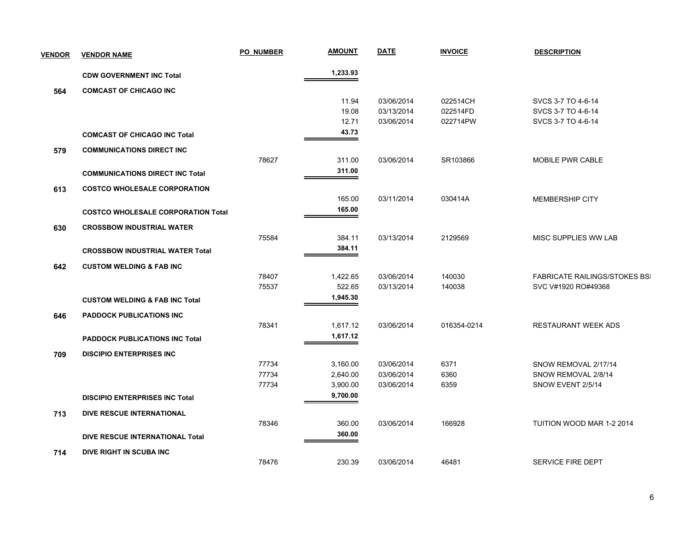| <b>VENDOR</b> | <b>VENDOR NAME</b>                        | <b>PO NUMBER</b> | <b>AMOUNT</b> | <b>DATE</b> | <b>INVOICE</b> | <b>DESCRIPTION</b>                   |
|---------------|-------------------------------------------|------------------|---------------|-------------|----------------|--------------------------------------|
|               | <b>CDW GOVERNMENT INC Total</b>           |                  | 1,233.93      |             |                |                                      |
| 564           | <b>COMCAST OF CHICAGO INC</b>             |                  |               |             |                |                                      |
|               |                                           |                  | 11.94         | 03/06/2014  | 022514CH       | SVCS 3-7 TO 4-6-14                   |
|               |                                           |                  | 19.08         | 03/13/2014  | 022514FD       | SVCS 3-7 TO 4-6-14                   |
|               |                                           |                  | 12.71         | 03/06/2014  | 022714PW       | SVCS 3-7 TO 4-6-14                   |
|               | <b>COMCAST OF CHICAGO INC Total</b>       |                  | 43.73         |             |                |                                      |
| 579           | <b>COMMUNICATIONS DIRECT INC</b>          |                  |               |             |                |                                      |
|               |                                           | 78627            | 311.00        | 03/06/2014  | SR103866       | MOBILE PWR CABLE                     |
|               | <b>COMMUNICATIONS DIRECT INC Total</b>    |                  | 311.00        |             |                |                                      |
| 613           | <b>COSTCO WHOLESALE CORPORATION</b>       |                  |               |             |                |                                      |
|               |                                           |                  | 165.00        | 03/11/2014  | 030414A        | <b>MEMBERSHIP CITY</b>               |
|               | <b>COSTCO WHOLESALE CORPORATION Total</b> |                  | 165.00        |             |                |                                      |
|               |                                           |                  |               |             |                |                                      |
| 630           | <b>CROSSBOW INDUSTRIAL WATER</b>          |                  |               |             |                |                                      |
|               |                                           | 75584            | 384.11        | 03/13/2014  | 2129569        | MISC SUPPLIES WW LAB                 |
|               | <b>CROSSBOW INDUSTRIAL WATER Total</b>    |                  | 384.11        |             |                |                                      |
| 642           | <b>CUSTOM WELDING &amp; FAB INC</b>       |                  |               |             |                |                                      |
|               |                                           | 78407            | 1,422.65      | 03/06/2014  | 140030         | <b>FABRICATE RAILINGS/STOKES BSI</b> |
|               |                                           | 75537            | 522.65        | 03/13/2014  | 140038         | SVC V#1920 RO#49368                  |
|               | <b>CUSTOM WELDING &amp; FAB INC Total</b> |                  | 1,945.30      |             |                |                                      |
| 646           | <b>PADDOCK PUBLICATIONS INC</b>           |                  |               |             |                |                                      |
|               |                                           | 78341            | 1,617.12      | 03/06/2014  | 016354-0214    | <b>RESTAURANT WEEK ADS</b>           |
|               | <b>PADDOCK PUBLICATIONS INC Total</b>     |                  | 1,617.12      |             |                |                                      |
| 709           | <b>DISCIPIO ENTERPRISES INC</b>           |                  |               |             |                |                                      |
|               |                                           | 77734            | 3,160.00      | 03/06/2014  | 6371           | SNOW REMOVAL 2/17/14                 |
|               |                                           | 77734            | 2,640.00      | 03/06/2014  | 6360           | SNOW REMOVAL 2/8/14                  |
|               |                                           | 77734            | 3,900.00      | 03/06/2014  | 6359           | SNOW EVENT 2/5/14                    |
|               | <b>DISCIPIO ENTERPRISES INC Total</b>     |                  | 9,700.00      |             |                |                                      |
| 713           | <b>DIVE RESCUE INTERNATIONAL</b>          |                  |               |             |                |                                      |
|               |                                           | 78346            | 360.00        | 03/06/2014  | 166928         | TUITION WOOD MAR 1-2 2014            |
|               | <b>DIVE RESCUE INTERNATIONAL Total</b>    |                  | 360.00        |             |                |                                      |
| 714           | DIVE RIGHT IN SCUBA INC                   |                  |               |             |                |                                      |
|               |                                           | 78476            | 230.39        | 03/06/2014  | 46481          | SERVICE FIRE DEPT                    |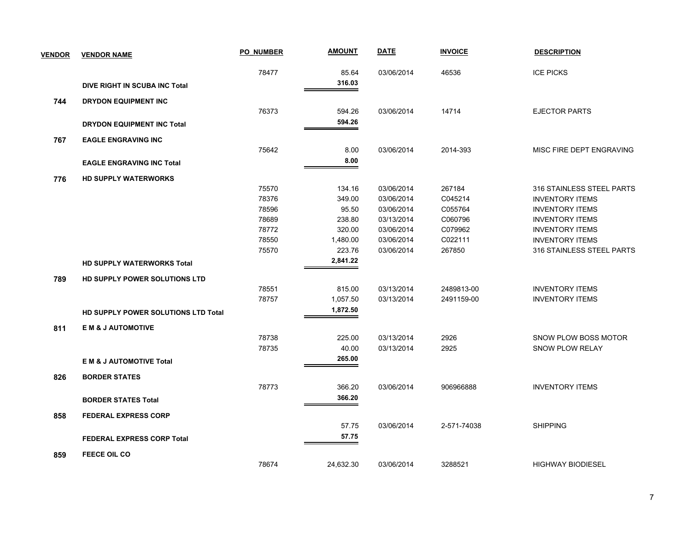| <b>VENDOR</b> | <b>VENDOR NAME</b>                   | PO NUMBER | <b>AMOUNT</b> | <b>DATE</b> | <b>INVOICE</b> | <b>DESCRIPTION</b>          |
|---------------|--------------------------------------|-----------|---------------|-------------|----------------|-----------------------------|
|               |                                      | 78477     | 85.64         | 03/06/2014  | 46536          | <b>ICE PICKS</b>            |
|               | <b>DIVE RIGHT IN SCUBA INC Total</b> |           | 316.03        |             |                |                             |
| 744           | <b>DRYDON EQUIPMENT INC</b>          |           |               |             |                |                             |
|               |                                      | 76373     | 594.26        | 03/06/2014  | 14714          | <b>EJECTOR PARTS</b>        |
|               | <b>DRYDON EQUIPMENT INC Total</b>    |           | 594.26        |             |                |                             |
| 767           | <b>EAGLE ENGRAVING INC</b>           |           |               |             |                |                             |
|               |                                      | 75642     | 8.00          | 03/06/2014  | 2014-393       | MISC FIRE DEPT ENGRAVING    |
|               | <b>EAGLE ENGRAVING INC Total</b>     |           | 8.00          |             |                |                             |
| 776           | <b>HD SUPPLY WATERWORKS</b>          |           |               |             |                |                             |
|               |                                      | 75570     | 134.16        | 03/06/2014  | 267184         | 316 STAINLESS STEEL PARTS   |
|               |                                      | 78376     | 349.00        | 03/06/2014  | C045214        | <b>INVENTORY ITEMS</b>      |
|               |                                      | 78596     | 95.50         | 03/06/2014  | C055764        | <b>INVENTORY ITEMS</b>      |
|               |                                      | 78689     | 238.80        | 03/13/2014  | C060796        | <b>INVENTORY ITEMS</b>      |
|               |                                      | 78772     | 320.00        | 03/06/2014  | C079962        | <b>INVENTORY ITEMS</b>      |
|               |                                      | 78550     | 1,480.00      | 03/06/2014  | C022111        | <b>INVENTORY ITEMS</b>      |
|               |                                      | 75570     | 223.76        | 03/06/2014  | 267850         | 316 STAINLESS STEEL PARTS   |
|               | <b>HD SUPPLY WATERWORKS Total</b>    |           | 2,841.22      |             |                |                             |
| 789           | HD SUPPLY POWER SOLUTIONS LTD        |           |               |             |                |                             |
|               |                                      | 78551     | 815.00        | 03/13/2014  | 2489813-00     | <b>INVENTORY ITEMS</b>      |
|               |                                      | 78757     | 1,057.50      | 03/13/2014  | 2491159-00     | <b>INVENTORY ITEMS</b>      |
|               | HD SUPPLY POWER SOLUTIONS LTD Total  |           | 1,872.50      |             |                |                             |
| 811           | <b>EM &amp; J AUTOMOTIVE</b>         |           |               |             |                |                             |
|               |                                      | 78738     | 225.00        | 03/13/2014  | 2926           | <b>SNOW PLOW BOSS MOTOR</b> |
|               |                                      | 78735     | 40.00         | 03/13/2014  | 2925           | <b>SNOW PLOW RELAY</b>      |
|               | <b>EM &amp; J AUTOMOTIVE Total</b>   |           | 265.00        |             |                |                             |
| 826           | <b>BORDER STATES</b>                 |           |               |             |                |                             |
|               |                                      | 78773     | 366.20        | 03/06/2014  | 906966888      | <b>INVENTORY ITEMS</b>      |
|               | <b>BORDER STATES Total</b>           |           | 366.20        |             |                |                             |
| 858           | <b>FEDERAL EXPRESS CORP</b>          |           |               |             |                |                             |
|               |                                      |           | 57.75         | 03/06/2014  | 2-571-74038    | <b>SHIPPING</b>             |
|               | <b>FEDERAL EXPRESS CORP Total</b>    |           | 57.75         |             |                |                             |
| 859           | <b>FEECE OIL CO</b>                  |           |               |             |                |                             |
|               |                                      | 78674     | 24,632.30     | 03/06/2014  | 3288521        | <b>HIGHWAY BIODIESEL</b>    |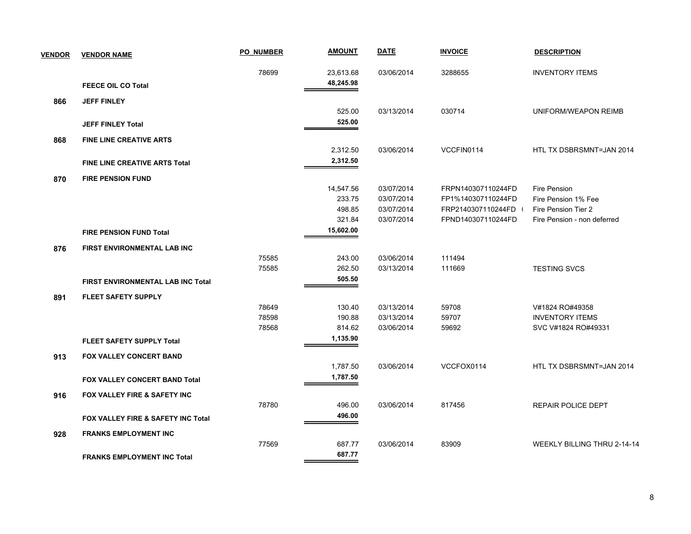| <b>VENDOR</b> | <b>VENDOR NAME</b>                   | <b>PO NUMBER</b> | <u>AMOUNT</u> | <b>DATE</b> | <b>INVOICE</b>     | <b>DESCRIPTION</b>                 |
|---------------|--------------------------------------|------------------|---------------|-------------|--------------------|------------------------------------|
|               |                                      | 78699            | 23,613.68     | 03/06/2014  | 3288655            | <b>INVENTORY ITEMS</b>             |
|               | <b>FEECE OIL CO Total</b>            |                  | 48,245.98     |             |                    |                                    |
| 866           | <b>JEFF FINLEY</b>                   |                  |               |             |                    |                                    |
|               |                                      |                  | 525.00        | 03/13/2014  | 030714             | UNIFORM/WEAPON REIMB               |
|               | <b>JEFF FINLEY Total</b>             |                  | 525.00        |             |                    |                                    |
| 868           | <b>FINE LINE CREATIVE ARTS</b>       |                  |               |             |                    |                                    |
|               |                                      |                  | 2,312.50      | 03/06/2014  | VCCFIN0114         | HTL TX DSBRSMNT=JAN 2014           |
|               | <b>FINE LINE CREATIVE ARTS Total</b> |                  | 2,312.50      |             |                    |                                    |
| 870           | <b>FIRE PENSION FUND</b>             |                  |               |             |                    |                                    |
|               |                                      |                  | 14,547.56     | 03/07/2014  | FRPN140307110244FD | Fire Pension                       |
|               |                                      |                  | 233.75        | 03/07/2014  | FP1%140307110244FD | Fire Pension 1% Fee                |
|               |                                      |                  | 498.85        | 03/07/2014  | FRP2140307110244FD | Fire Pension Tier 2                |
|               |                                      |                  | 321.84        | 03/07/2014  | FPND140307110244FD | Fire Pension - non deferred        |
|               | <b>FIRE PENSION FUND Total</b>       |                  | 15,602.00     |             |                    |                                    |
| 876           | FIRST ENVIRONMENTAL LAB INC          |                  |               |             |                    |                                    |
|               |                                      | 75585            | 243.00        | 03/06/2014  | 111494             |                                    |
|               |                                      | 75585            | 262.50        | 03/13/2014  | 111669             | <b>TESTING SVCS</b>                |
|               | FIRST ENVIRONMENTAL LAB INC Total    |                  | 505.50        |             |                    |                                    |
| 891           | <b>FLEET SAFETY SUPPLY</b>           |                  |               |             |                    |                                    |
|               |                                      | 78649            | 130.40        | 03/13/2014  | 59708              | V#1824 RO#49358                    |
|               |                                      | 78598            | 190.88        | 03/13/2014  | 59707              | <b>INVENTORY ITEMS</b>             |
|               |                                      | 78568            | 814.62        | 03/06/2014  | 59692              | SVC V#1824 RO#49331                |
|               | <b>FLEET SAFETY SUPPLY Total</b>     |                  | 1,135.90      |             |                    |                                    |
| 913           | <b>FOX VALLEY CONCERT BAND</b>       |                  |               |             |                    |                                    |
|               |                                      |                  | 1,787.50      | 03/06/2014  | VCCFOX0114         | HTL TX DSBRSMNT=JAN 2014           |
|               | FOX VALLEY CONCERT BAND Total        |                  | 1,787.50      |             |                    |                                    |
| 916           | FOX VALLEY FIRE & SAFETY INC         |                  |               |             |                    |                                    |
|               |                                      | 78780            | 496.00        | 03/06/2014  | 817456             | REPAIR POLICE DEPT                 |
|               | FOX VALLEY FIRE & SAFETY INC Total   |                  | 496.00        |             |                    |                                    |
|               |                                      |                  |               |             |                    |                                    |
| 928           | <b>FRANKS EMPLOYMENT INC</b>         | 77569            | 687.77        | 03/06/2014  | 83909              | <b>WEEKLY BILLING THRU 2-14-14</b> |
|               |                                      |                  | 687.77        |             |                    |                                    |
|               | <b>FRANKS EMPLOYMENT INC Total</b>   |                  |               |             |                    |                                    |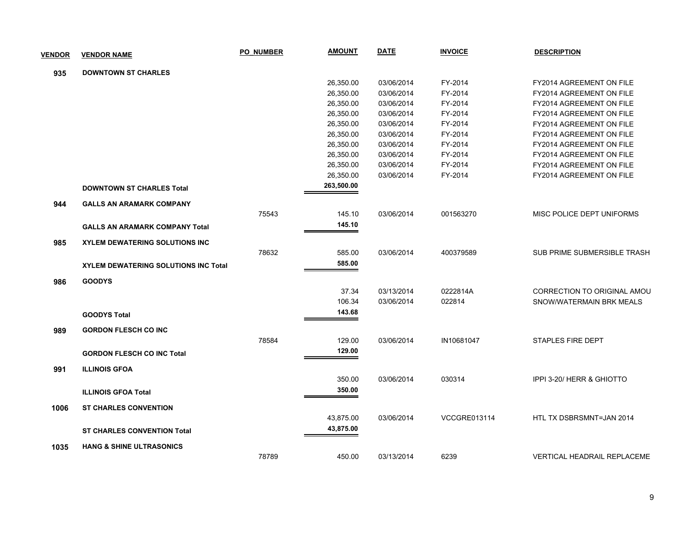| <b>VENDOR</b> | <b>VENDOR NAME</b>                          | <b>PO NUMBER</b> | <b>AMOUNT</b> | <b>DATE</b> | <b>INVOICE</b>      | <b>DESCRIPTION</b>                 |
|---------------|---------------------------------------------|------------------|---------------|-------------|---------------------|------------------------------------|
| 935           | <b>DOWNTOWN ST CHARLES</b>                  |                  |               |             |                     |                                    |
|               |                                             |                  | 26,350.00     | 03/06/2014  | FY-2014             | FY2014 AGREEMENT ON FILE           |
|               |                                             |                  | 26,350.00     | 03/06/2014  | FY-2014             | FY2014 AGREEMENT ON FILE           |
|               |                                             |                  | 26,350.00     | 03/06/2014  | FY-2014             | FY2014 AGREEMENT ON FILE           |
|               |                                             |                  | 26,350.00     | 03/06/2014  | FY-2014             | FY2014 AGREEMENT ON FILE           |
|               |                                             |                  | 26,350.00     | 03/06/2014  | FY-2014             | FY2014 AGREEMENT ON FILE           |
|               |                                             |                  | 26,350.00     | 03/06/2014  | FY-2014             | FY2014 AGREEMENT ON FILE           |
|               |                                             |                  | 26,350.00     | 03/06/2014  | FY-2014             | FY2014 AGREEMENT ON FILE           |
|               |                                             |                  | 26,350.00     | 03/06/2014  | FY-2014             | FY2014 AGREEMENT ON FILE           |
|               |                                             |                  | 26,350.00     | 03/06/2014  | FY-2014             | FY2014 AGREEMENT ON FILE           |
|               |                                             |                  | 26,350.00     | 03/06/2014  | FY-2014             | FY2014 AGREEMENT ON FILE           |
|               | <b>DOWNTOWN ST CHARLES Total</b>            |                  | 263,500.00    |             |                     |                                    |
| 944           | <b>GALLS AN ARAMARK COMPANY</b>             |                  |               |             |                     |                                    |
|               |                                             | 75543            | 145.10        | 03/06/2014  | 001563270           | MISC POLICE DEPT UNIFORMS          |
|               | <b>GALLS AN ARAMARK COMPANY Total</b>       |                  | 145.10        |             |                     |                                    |
| 985           | <b>XYLEM DEWATERING SOLUTIONS INC</b>       |                  |               |             |                     |                                    |
|               |                                             | 78632            | 585.00        | 03/06/2014  | 400379589           | SUB PRIME SUBMERSIBLE TRASH        |
|               | <b>XYLEM DEWATERING SOLUTIONS INC Total</b> |                  | 585.00        |             |                     |                                    |
| 986           | <b>GOODYS</b>                               |                  |               |             |                     |                                    |
|               |                                             |                  | 37.34         | 03/13/2014  | 0222814A            | CORRECTION TO ORIGINAL AMOU        |
|               |                                             |                  | 106.34        | 03/06/2014  | 022814              | SNOW/WATERMAIN BRK MEALS           |
|               | <b>GOODYS Total</b>                         |                  | 143.68        |             |                     |                                    |
| 989           | <b>GORDON FLESCH CO INC</b>                 |                  |               |             |                     |                                    |
|               |                                             | 78584            | 129.00        | 03/06/2014  | IN10681047          | STAPLES FIRE DEPT                  |
|               | <b>GORDON FLESCH CO INC Total</b>           |                  | 129.00        |             |                     |                                    |
| 991           | <b>ILLINOIS GFOA</b>                        |                  |               |             |                     |                                    |
|               |                                             |                  | 350.00        | 03/06/2014  | 030314              | IPPI 3-20/ HERR & GHIOTTO          |
|               |                                             |                  | 350.00        |             |                     |                                    |
|               | <b>ILLINOIS GFOA Total</b>                  |                  |               |             |                     |                                    |
| 1006          | <b>ST CHARLES CONVENTION</b>                |                  |               |             |                     |                                    |
|               |                                             |                  | 43,875.00     | 03/06/2014  | <b>VCCGRE013114</b> | HTL TX DSBRSMNT=JAN 2014           |
|               | <b>ST CHARLES CONVENTION Total</b>          |                  | 43,875.00     |             |                     |                                    |
| 1035          | <b>HANG &amp; SHINE ULTRASONICS</b>         |                  |               |             |                     |                                    |
|               |                                             | 78789            | 450.00        | 03/13/2014  | 6239                | <b>VERTICAL HEADRAIL REPLACEME</b> |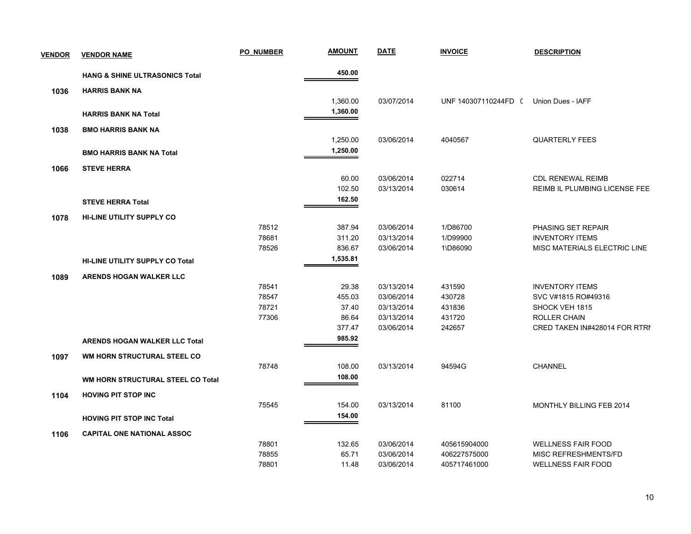| <b>VENDOR</b> | <b>VENDOR NAME</b>                        | PO NUMBER | <b>AMOUNT</b> | <b>DATE</b> | <b>INVOICE</b>       | <b>DESCRIPTION</b>            |
|---------------|-------------------------------------------|-----------|---------------|-------------|----------------------|-------------------------------|
|               | <b>HANG &amp; SHINE ULTRASONICS Total</b> |           | 450.00        |             |                      |                               |
| 1036          | <b>HARRIS BANK NA</b>                     |           |               |             |                      |                               |
|               |                                           |           | 1,360.00      | 03/07/2014  | UNF 140307110244FD ( | Union Dues - IAFF             |
|               | <b>HARRIS BANK NA Total</b>               |           | 1,360.00      |             |                      |                               |
| 1038          | <b>BMO HARRIS BANK NA</b>                 |           |               |             |                      |                               |
|               |                                           |           | 1,250.00      | 03/06/2014  | 4040567              | <b>QUARTERLY FEES</b>         |
|               | <b>BMO HARRIS BANK NA Total</b>           |           | 1,250.00      |             |                      |                               |
| 1066          | <b>STEVE HERRA</b>                        |           |               |             |                      |                               |
|               |                                           |           | 60.00         | 03/06/2014  | 022714               | <b>CDL RENEWAL REIMB</b>      |
|               |                                           |           | 102.50        | 03/13/2014  | 030614               | REIMB IL PLUMBING LICENSE FEE |
|               | <b>STEVE HERRA Total</b>                  |           | 162.50        |             |                      |                               |
| 1078          | <b>HI-LINE UTILITY SUPPLY CO</b>          |           |               |             |                      |                               |
|               |                                           | 78512     | 387.94        | 03/06/2014  | 1/D86700             | PHASING SET REPAIR            |
|               |                                           | 78681     | 311.20        | 03/13/2014  | 1/D99900             | <b>INVENTORY ITEMS</b>        |
|               |                                           | 78526     | 836.67        | 03/06/2014  | 1\D86090             | MISC MATERIALS ELECTRIC LINE  |
|               | <b>HI-LINE UTILITY SUPPLY CO Total</b>    |           | 1,535.81      |             |                      |                               |
| 1089          | ARENDS HOGAN WALKER LLC                   |           |               |             |                      |                               |
|               |                                           | 78541     | 29.38         | 03/13/2014  | 431590               | <b>INVENTORY ITEMS</b>        |
|               |                                           | 78547     | 455.03        | 03/06/2014  | 430728               | SVC V#1815 RO#49316           |
|               |                                           | 78721     | 37.40         | 03/13/2014  | 431836               | SHOCK VEH 1815                |
|               |                                           | 77306     | 86.64         | 03/13/2014  | 431720               | <b>ROLLER CHAIN</b>           |
|               |                                           |           | 377.47        | 03/06/2014  | 242657               | CRED TAKEN IN#428014 FOR RTRI |
|               | <b>ARENDS HOGAN WALKER LLC Total</b>      |           | 985.92        |             |                      |                               |
| 1097          | WM HORN STRUCTURAL STEEL CO               |           |               |             |                      |                               |
|               |                                           | 78748     | 108.00        | 03/13/2014  | 94594G               | <b>CHANNEL</b>                |
|               | WM HORN STRUCTURAL STEEL CO Total         |           | 108.00        |             |                      |                               |
| 1104          | <b>HOVING PIT STOP INC</b>                |           |               |             |                      |                               |
|               |                                           | 75545     | 154.00        | 03/13/2014  | 81100                | MONTHLY BILLING FEB 2014      |
|               | <b>HOVING PIT STOP INC Total</b>          |           | 154.00        |             |                      |                               |
| 1106          | <b>CAPITAL ONE NATIONAL ASSOC</b>         |           |               |             |                      |                               |
|               |                                           | 78801     | 132.65        | 03/06/2014  | 405615904000         | <b>WELLNESS FAIR FOOD</b>     |
|               |                                           | 78855     | 65.71         | 03/06/2014  | 406227575000         | MISC REFRESHMENTS/FD          |
|               |                                           | 78801     | 11.48         | 03/06/2014  | 405717461000         | <b>WELLNESS FAIR FOOD</b>     |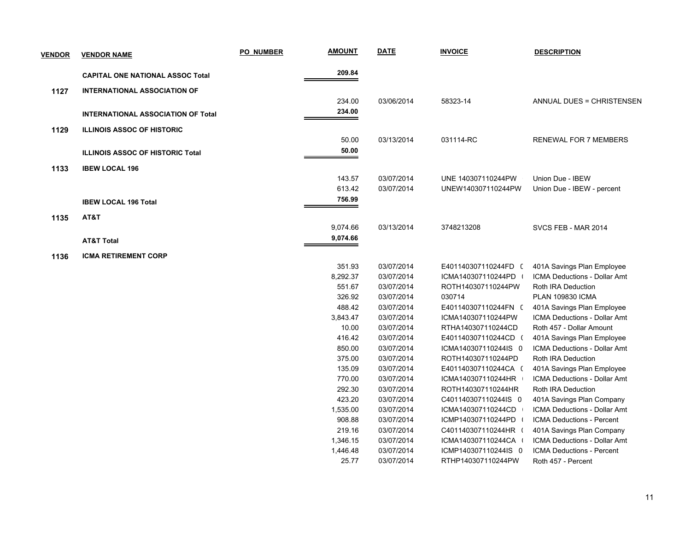| <b>VENDOR</b> | <b>VENDOR NAME</b>                        | <b>PO NUMBER</b> | <b>AMOUNT</b>      | <b>DATE</b>              | <b>INVOICE</b>                           | <b>DESCRIPTION</b>                                        |
|---------------|-------------------------------------------|------------------|--------------------|--------------------------|------------------------------------------|-----------------------------------------------------------|
|               | <b>CAPITAL ONE NATIONAL ASSOC Total</b>   |                  | 209.84             |                          |                                          |                                                           |
| 1127          | <b>INTERNATIONAL ASSOCIATION OF</b>       |                  |                    |                          |                                          |                                                           |
|               |                                           |                  | 234.00             | 03/06/2014               | 58323-14                                 | <b>ANNUAL DUES = CHRISTENSEN</b>                          |
|               | <b>INTERNATIONAL ASSOCIATION OF Total</b> |                  | 234.00             |                          |                                          |                                                           |
|               |                                           |                  |                    |                          |                                          |                                                           |
| 1129          | <b>ILLINOIS ASSOC OF HISTORIC</b>         |                  |                    |                          |                                          |                                                           |
|               |                                           |                  | 50.00              | 03/13/2014               | 031114-RC                                | <b>RENEWAL FOR 7 MEMBERS</b>                              |
|               | <b>ILLINOIS ASSOC OF HISTORIC Total</b>   |                  | 50.00              |                          |                                          |                                                           |
| 1133          | <b>IBEW LOCAL 196</b>                     |                  |                    |                          |                                          |                                                           |
|               |                                           |                  | 143.57             | 03/07/2014               | UNE 140307110244PW                       | Union Due - IBEW                                          |
|               |                                           |                  | 613.42             | 03/07/2014               | UNEW140307110244PW                       | Union Due - IBEW - percent                                |
|               | <b>IBEW LOCAL 196 Total</b>               |                  | 756.99             |                          |                                          |                                                           |
|               |                                           |                  |                    |                          |                                          |                                                           |
| 1135          | AT&T                                      |                  |                    |                          |                                          |                                                           |
|               |                                           |                  | 9,074.66           | 03/13/2014               | 3748213208                               | SVCS FEB - MAR 2014                                       |
|               | <b>AT&amp;T Total</b>                     |                  | 9,074.66           |                          |                                          |                                                           |
| 1136          | <b>ICMA RETIREMENT CORP</b>               |                  |                    |                          |                                          |                                                           |
|               |                                           |                  | 351.93             | 03/07/2014               | E401140307110244FD (                     | 401A Savings Plan Employee                                |
|               |                                           |                  | 8,292.37           | 03/07/2014               | ICMA140307110244PD                       | <b>ICMA Deductions - Dollar Amt</b>                       |
|               |                                           |                  | 551.67             | 03/07/2014               | ROTH140307110244PW                       | Roth IRA Deduction                                        |
|               |                                           |                  | 326.92             | 03/07/2014               | 030714                                   | <b>PLAN 109830 ICMA</b>                                   |
|               |                                           |                  | 488.42             | 03/07/2014               | E401140307110244FN (                     | 401A Savings Plan Employee                                |
|               |                                           |                  | 3,843.47           | 03/07/2014               | ICMA140307110244PW                       | ICMA Deductions - Dollar Amt                              |
|               |                                           |                  | 10.00              | 03/07/2014               | RTHA140307110244CD                       | Roth 457 - Dollar Amount                                  |
|               |                                           |                  | 416.42             | 03/07/2014               | E401140307110244CD (                     | 401A Savings Plan Employee                                |
|               |                                           |                  | 850.00             | 03/07/2014               | ICMA140307110244IS 0                     | <b>ICMA Deductions - Dollar Amt</b>                       |
|               |                                           |                  | 375.00             | 03/07/2014               | ROTH140307110244PD                       | Roth IRA Deduction                                        |
|               |                                           |                  | 135.09             | 03/07/2014               | E401140307110244CA (                     | 401A Savings Plan Employee                                |
|               |                                           |                  | 770.00             | 03/07/2014               | ICMA140307110244HR                       | <b>ICMA Deductions - Dollar Amt</b>                       |
|               |                                           |                  | 292.30             | 03/07/2014               | ROTH140307110244HR                       | Roth IRA Deduction                                        |
|               |                                           |                  | 423.20             | 03/07/2014               | C401140307110244IS 0                     | 401A Savings Plan Company                                 |
|               |                                           |                  | 1,535.00<br>908.88 | 03/07/2014<br>03/07/2014 | ICMA140307110244CD<br>ICMP140307110244PD | ICMA Deductions - Dollar Amt<br>ICMA Deductions - Percent |
|               |                                           |                  | 219.16             | 03/07/2014               | C401140307110244HR (                     | 401A Savings Plan Company                                 |
|               |                                           |                  | 1,346.15           | 03/07/2014               | ICMA140307110244CA                       | ICMA Deductions - Dollar Amt                              |
|               |                                           |                  | 1,446.48           | 03/07/2014               | ICMP140307110244IS 0                     | ICMA Deductions - Percent                                 |
|               |                                           |                  | 25.77              | 03/07/2014               | RTHP140307110244PW                       | Roth 457 - Percent                                        |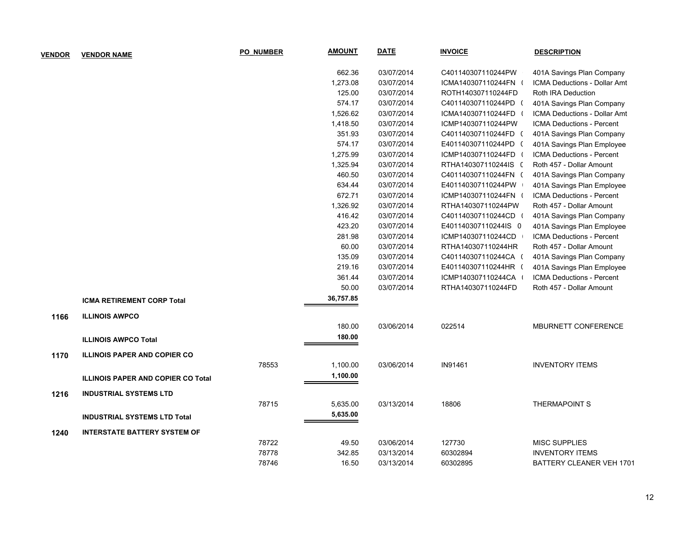| <b>VENDOR</b> | <b>VENDOR NAME</b>                        | <b>PO NUMBER</b> | <b>AMOUNT</b> | <b>DATE</b> | <b>INVOICE</b>       | <b>DESCRIPTION</b>               |
|---------------|-------------------------------------------|------------------|---------------|-------------|----------------------|----------------------------------|
|               |                                           |                  | 662.36        | 03/07/2014  | C401140307110244PW   | 401A Savings Plan Company        |
|               |                                           |                  | 1,273.08      | 03/07/2014  | ICMA140307110244FN ( | ICMA Deductions - Dollar Amt     |
|               |                                           |                  | 125.00        | 03/07/2014  | ROTH140307110244FD   | Roth IRA Deduction               |
|               |                                           |                  | 574.17        | 03/07/2014  | C401140307110244PD ( | 401A Savings Plan Company        |
|               |                                           |                  | 1,526.62      | 03/07/2014  | ICMA140307110244FD ( | ICMA Deductions - Dollar Amt     |
|               |                                           |                  | 1,418.50      | 03/07/2014  | ICMP140307110244PW   | ICMA Deductions - Percent        |
|               |                                           |                  | 351.93        | 03/07/2014  | C401140307110244FD ( | 401A Savings Plan Company        |
|               |                                           |                  | 574.17        | 03/07/2014  | E401140307110244PD ( | 401A Savings Plan Employee       |
|               |                                           |                  | 1,275.99      | 03/07/2014  | ICMP140307110244FD ( | ICMA Deductions - Percent        |
|               |                                           |                  | 1,325.94      | 03/07/2014  | RTHA140307110244IS ( | Roth 457 - Dollar Amount         |
|               |                                           |                  | 460.50        | 03/07/2014  | C401140307110244FN ( | 401A Savings Plan Company        |
|               |                                           |                  | 634.44        | 03/07/2014  | E401140307110244PW   | 401A Savings Plan Employee       |
|               |                                           |                  | 672.71        | 03/07/2014  | ICMP140307110244FN ( | <b>ICMA Deductions - Percent</b> |
|               |                                           |                  | 1,326.92      | 03/07/2014  | RTHA140307110244PW   | Roth 457 - Dollar Amount         |
|               |                                           |                  | 416.42        | 03/07/2014  | C401140307110244CD ( | 401A Savings Plan Company        |
|               |                                           |                  | 423.20        | 03/07/2014  | E401140307110244IS 0 | 401A Savings Plan Employee       |
|               |                                           |                  | 281.98        | 03/07/2014  | ICMP140307110244CD   | <b>ICMA Deductions - Percent</b> |
|               |                                           |                  | 60.00         | 03/07/2014  | RTHA140307110244HR   | Roth 457 - Dollar Amount         |
|               |                                           |                  | 135.09        | 03/07/2014  | C401140307110244CA ( | 401A Savings Plan Company        |
|               |                                           |                  | 219.16        | 03/07/2014  | E401140307110244HR ( | 401A Savings Plan Employee       |
|               |                                           |                  | 361.44        | 03/07/2014  | ICMP140307110244CA   | <b>ICMA Deductions - Percent</b> |
|               |                                           |                  | 50.00         | 03/07/2014  | RTHA140307110244FD   | Roth 457 - Dollar Amount         |
|               | <b>ICMA RETIREMENT CORP Total</b>         |                  | 36,757.85     |             |                      |                                  |
| 1166          | <b>ILLINOIS AWPCO</b>                     |                  |               |             |                      |                                  |
|               |                                           |                  | 180.00        | 03/06/2014  | 022514               | MBURNETT CONFERENCE              |
|               | <b>ILLINOIS AWPCO Total</b>               |                  | 180.00        |             |                      |                                  |
| 1170          | <b>ILLINOIS PAPER AND COPIER CO</b>       |                  |               |             |                      |                                  |
|               |                                           | 78553            | 1,100.00      | 03/06/2014  | IN91461              | <b>INVENTORY ITEMS</b>           |
|               | <b>ILLINOIS PAPER AND COPIER CO Total</b> |                  | 1,100.00      |             |                      |                                  |
| 1216          | <b>INDUSTRIAL SYSTEMS LTD</b>             |                  |               |             |                      |                                  |
|               |                                           | 78715            | 5,635.00      | 03/13/2014  | 18806                | <b>THERMAPOINT S</b>             |
|               | <b>INDUSTRIAL SYSTEMS LTD Total</b>       |                  | 5,635.00      |             |                      |                                  |
| 1240          | <b>INTERSTATE BATTERY SYSTEM OF</b>       |                  |               |             |                      |                                  |
|               |                                           | 78722            | 49.50         | 03/06/2014  | 127730               | <b>MISC SUPPLIES</b>             |
|               |                                           | 78778            | 342.85        | 03/13/2014  | 60302894             | <b>INVENTORY ITEMS</b>           |
|               |                                           | 78746            | 16.50         | 03/13/2014  | 60302895             | BATTERY CLEANER VEH 1701         |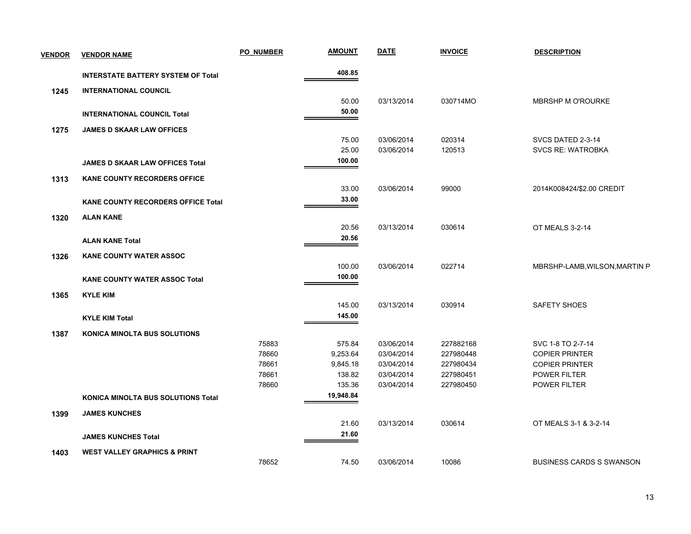| <b>VENDOR</b> | <b>VENDOR NAME</b>                        | <b>PO NUMBER</b> | <b>AMOUNT</b> | <b>DATE</b> | <b>INVOICE</b> | <b>DESCRIPTION</b>              |
|---------------|-------------------------------------------|------------------|---------------|-------------|----------------|---------------------------------|
|               | <b>INTERSTATE BATTERY SYSTEM OF Total</b> |                  | 408.85        |             |                |                                 |
| 1245          | <b>INTERNATIONAL COUNCIL</b>              |                  |               |             |                |                                 |
|               |                                           |                  | 50.00         | 03/13/2014  | 030714MO       | <b>MBRSHP M O'ROURKE</b>        |
|               | <b>INTERNATIONAL COUNCIL Total</b>        |                  | 50.00         |             |                |                                 |
| 1275          | <b>JAMES D SKAAR LAW OFFICES</b>          |                  |               |             |                |                                 |
|               |                                           |                  | 75.00         | 03/06/2014  | 020314         | SVCS DATED 2-3-14               |
|               |                                           |                  | 25.00         | 03/06/2014  | 120513         | <b>SVCS RE: WATROBKA</b>        |
|               | JAMES D SKAAR LAW OFFICES Total           |                  | 100.00        |             |                |                                 |
| 1313          | <b>KANE COUNTY RECORDERS OFFICE</b>       |                  |               |             |                |                                 |
|               |                                           |                  | 33.00         | 03/06/2014  | 99000          | 2014K008424/\$2.00 CREDIT       |
|               | <b>KANE COUNTY RECORDERS OFFICE Total</b> |                  | 33.00         |             |                |                                 |
| 1320          | <b>ALAN KANE</b>                          |                  |               |             |                |                                 |
|               |                                           |                  | 20.56         | 03/13/2014  | 030614         | OT MEALS 3-2-14                 |
|               | <b>ALAN KANE Total</b>                    |                  | 20.56         |             |                |                                 |
| 1326          | <b>KANE COUNTY WATER ASSOC</b>            |                  |               |             |                |                                 |
|               |                                           |                  | 100.00        | 03/06/2014  | 022714         | MBRSHP-LAMB, WILSON, MARTIN P.  |
|               | <b>KANE COUNTY WATER ASSOC Total</b>      |                  | 100.00        |             |                |                                 |
| 1365          | <b>KYLE KIM</b>                           |                  |               |             |                |                                 |
|               |                                           |                  | 145.00        | 03/13/2014  | 030914         | SAFETY SHOES                    |
|               | <b>KYLE KIM Total</b>                     |                  | 145.00        |             |                |                                 |
| 1387          | <b>KONICA MINOLTA BUS SOLUTIONS</b>       |                  |               |             |                |                                 |
|               |                                           | 75883            | 575.84        | 03/06/2014  | 227882168      | SVC 1-8 TO 2-7-14               |
|               |                                           | 78660            | 9,253.64      | 03/04/2014  | 227980448      | <b>COPIER PRINTER</b>           |
|               |                                           | 78661            | 9,845.18      | 03/04/2014  | 227980434      | <b>COPIER PRINTER</b>           |
|               |                                           | 78661            | 138.82        | 03/04/2014  | 227980451      | POWER FILTER                    |
|               |                                           | 78660            | 135.36        | 03/04/2014  | 227980450      | POWER FILTER                    |
|               | <b>KONICA MINOLTA BUS SOLUTIONS Total</b> |                  | 19,948.84     |             |                |                                 |
| 1399          | <b>JAMES KUNCHES</b>                      |                  |               |             |                |                                 |
|               |                                           |                  | 21.60         | 03/13/2014  | 030614         | OT MEALS 3-1 & 3-2-14           |
|               | <b>JAMES KUNCHES Total</b>                |                  | 21.60         |             |                |                                 |
| 1403          | <b>WEST VALLEY GRAPHICS &amp; PRINT</b>   |                  |               |             |                |                                 |
|               |                                           | 78652            | 74.50         | 03/06/2014  | 10086          | <b>BUSINESS CARDS S SWANSON</b> |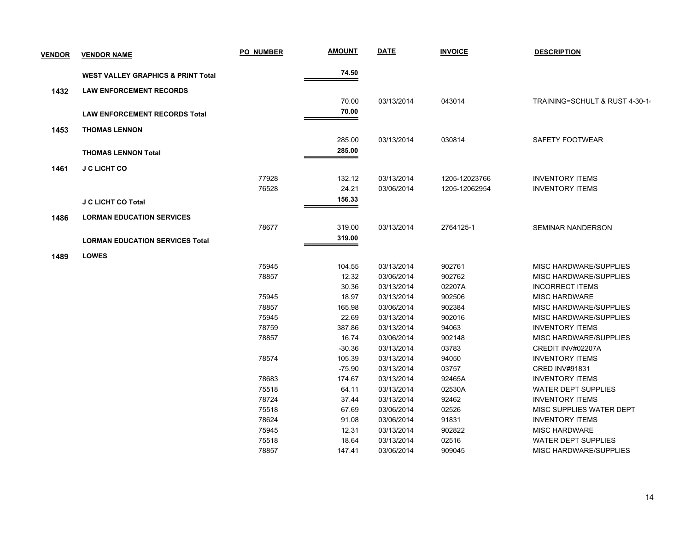| <b>VENDOR</b> | <b>VENDOR NAME</b>                            | <b>PO NUMBER</b> | <b>AMOUNT</b> | <b>DATE</b> | <b>INVOICE</b> | <b>DESCRIPTION</b>             |
|---------------|-----------------------------------------------|------------------|---------------|-------------|----------------|--------------------------------|
|               | <b>WEST VALLEY GRAPHICS &amp; PRINT Total</b> |                  | 74.50         |             |                |                                |
| 1432          | <b>LAW ENFORCEMENT RECORDS</b>                |                  |               |             |                |                                |
|               |                                               |                  | 70.00         | 03/13/2014  | 043014         | TRAINING=SCHULT & RUST 4-30-1- |
|               | <b>LAW ENFORCEMENT RECORDS Total</b>          |                  | 70.00         |             |                |                                |
|               |                                               |                  |               |             |                |                                |
| 1453          | <b>THOMAS LENNON</b>                          |                  |               |             |                |                                |
|               |                                               |                  | 285.00        | 03/13/2014  | 030814         | SAFETY FOOTWEAR                |
|               | <b>THOMAS LENNON Total</b>                    |                  | 285.00        |             |                |                                |
| 1461          | <b>J C LICHT CO</b>                           |                  |               |             |                |                                |
|               |                                               | 77928            | 132.12        | 03/13/2014  | 1205-12023766  | <b>INVENTORY ITEMS</b>         |
|               |                                               | 76528            | 24.21         | 03/06/2014  | 1205-12062954  | <b>INVENTORY ITEMS</b>         |
|               | <b>J C LICHT CO Total</b>                     |                  | 156.33        |             |                |                                |
|               |                                               |                  |               |             |                |                                |
| 1486          | <b>LORMAN EDUCATION SERVICES</b>              |                  |               |             |                |                                |
|               |                                               | 78677            | 319.00        | 03/13/2014  | 2764125-1      | <b>SEMINAR NANDERSON</b>       |
|               | <b>LORMAN EDUCATION SERVICES Total</b>        |                  | 319.00        |             |                |                                |
| 1489          | <b>LOWES</b>                                  |                  |               |             |                |                                |
|               |                                               | 75945            | 104.55        | 03/13/2014  | 902761         | MISC HARDWARE/SUPPLIES         |
|               |                                               | 78857            | 12.32         | 03/06/2014  | 902762         | MISC HARDWARE/SUPPLIES         |
|               |                                               |                  | 30.36         | 03/13/2014  | 02207A         | <b>INCORRECT ITEMS</b>         |
|               |                                               | 75945            | 18.97         | 03/13/2014  | 902506         | <b>MISC HARDWARE</b>           |
|               |                                               | 78857            | 165.98        | 03/06/2014  | 902384         | <b>MISC HARDWARE/SUPPLIES</b>  |
|               |                                               | 75945            | 22.69         | 03/13/2014  | 902016         | MISC HARDWARE/SUPPLIES         |
|               |                                               | 78759            | 387.86        | 03/13/2014  | 94063          | <b>INVENTORY ITEMS</b>         |
|               |                                               | 78857            | 16.74         | 03/06/2014  | 902148         | <b>MISC HARDWARE/SUPPLIES</b>  |
|               |                                               |                  | $-30.36$      | 03/13/2014  | 03783          | CREDIT INV#02207A              |
|               |                                               | 78574            | 105.39        | 03/13/2014  | 94050          | <b>INVENTORY ITEMS</b>         |
|               |                                               |                  | $-75.90$      | 03/13/2014  | 03757          | <b>CRED INV#91831</b>          |
|               |                                               | 78683            | 174.67        | 03/13/2014  | 92465A         | <b>INVENTORY ITEMS</b>         |
|               |                                               | 75518            | 64.11         | 03/13/2014  | 02530A         | <b>WATER DEPT SUPPLIES</b>     |
|               |                                               | 78724            | 37.44         | 03/13/2014  | 92462          | <b>INVENTORY ITEMS</b>         |
|               |                                               | 75518            | 67.69         | 03/06/2014  | 02526          | MISC SUPPLIES WATER DEPT       |
|               |                                               | 78624            | 91.08         | 03/06/2014  | 91831          | <b>INVENTORY ITEMS</b>         |
|               |                                               | 75945            | 12.31         | 03/13/2014  | 902822         | MISC HARDWARE                  |
|               |                                               | 75518            | 18.64         | 03/13/2014  | 02516          | <b>WATER DEPT SUPPLIES</b>     |
|               |                                               | 78857            | 147.41        | 03/06/2014  | 909045         | MISC HARDWARE/SUPPLIES         |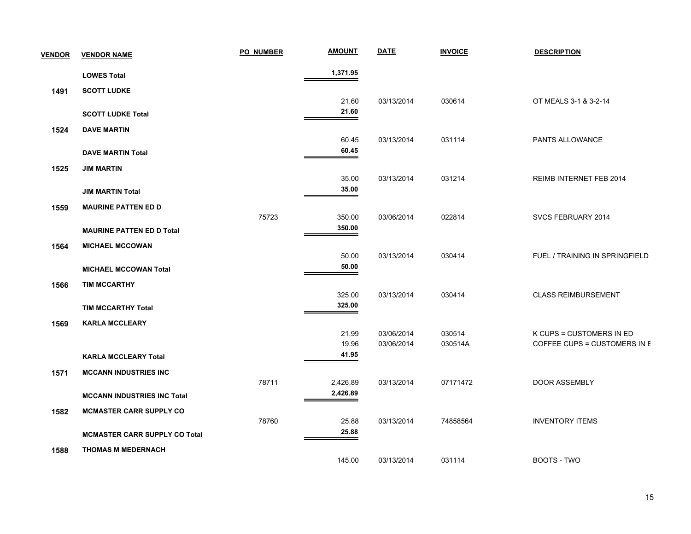| <b>VENDOR</b> | <b>VENDOR NAME</b>                   | <b>PO NUMBER</b> | <b>AMOUNT</b>  | <b>DATE</b> | <b>INVOICE</b> | <b>DESCRIPTION</b>             |
|---------------|--------------------------------------|------------------|----------------|-------------|----------------|--------------------------------|
|               | <b>LOWES Total</b>                   |                  | 1,371.95       |             |                |                                |
| 1491          | <b>SCOTT LUDKE</b>                   |                  |                |             |                |                                |
|               |                                      |                  | 21.60          | 03/13/2014  | 030614         | OT MEALS 3-1 & 3-2-14          |
|               | <b>SCOTT LUDKE Total</b>             |                  | 21.60          |             |                |                                |
| 1524          | <b>DAVE MARTIN</b>                   |                  |                |             |                |                                |
|               |                                      |                  | 60.45          | 03/13/2014  | 031114         | PANTS ALLOWANCE                |
|               | <b>DAVE MARTIN Total</b>             |                  | 60.45          |             |                |                                |
| 1525          | <b>JIM MARTIN</b>                    |                  |                |             |                |                                |
|               |                                      |                  | 35.00<br>35.00 | 03/13/2014  | 031214         | REIMB INTERNET FEB 2014        |
|               | <b>JIM MARTIN Total</b>              |                  |                |             |                |                                |
| 1559          | <b>MAURINE PATTEN ED D</b>           | 75723            | 350.00         | 03/06/2014  | 022814         | SVCS FEBRUARY 2014             |
|               | <b>MAURINE PATTEN ED D Total</b>     |                  | 350.00         |             |                |                                |
| 1564          | <b>MICHAEL MCCOWAN</b>               |                  |                |             |                |                                |
|               |                                      |                  | 50.00          | 03/13/2014  | 030414         | FUEL / TRAINING IN SPRINGFIELD |
|               | <b>MICHAEL MCCOWAN Total</b>         |                  | 50.00          |             |                |                                |
| 1566          | <b>TIM MCCARTHY</b>                  |                  |                |             |                |                                |
|               |                                      |                  | 325.00         | 03/13/2014  | 030414         | <b>CLASS REIMBURSEMENT</b>     |
|               | <b>TIM MCCARTHY Total</b>            |                  | 325.00         |             |                |                                |
| 1569          | <b>KARLA MCCLEARY</b>                |                  |                |             |                |                                |
|               |                                      |                  | 21.99          | 03/06/2014  | 030514         | K CUPS = CUSTOMERS IN ED       |
|               |                                      |                  | 19.96<br>41.95 | 03/06/2014  | 030514A        | COFFEE CUPS = CUSTOMERS IN E   |
|               | <b>KARLA MCCLEARY Total</b>          |                  |                |             |                |                                |
| 1571          | <b>MCCANN INDUSTRIES INC</b>         | 78711            | 2,426.89       | 03/13/2014  | 07171472       | <b>DOOR ASSEMBLY</b>           |
|               | <b>MCCANN INDUSTRIES INC Total</b>   |                  | 2,426.89       |             |                |                                |
|               | <b>MCMASTER CARR SUPPLY CO</b>       |                  |                |             |                |                                |
| 1582          |                                      | 78760            | 25.88          | 03/13/2014  | 74858564       | <b>INVENTORY ITEMS</b>         |
|               | <b>MCMASTER CARR SUPPLY CO Total</b> |                  | 25.88          |             |                |                                |
| 1588          | <b>THOMAS M MEDERNACH</b>            |                  |                |             |                |                                |
|               |                                      |                  | 145.00         | 03/13/2014  | 031114         | <b>BOOTS - TWO</b>             |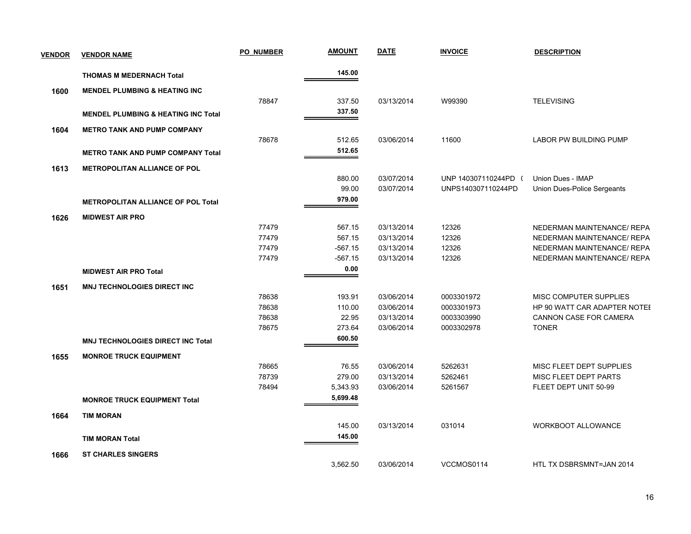| <b>VENDOR</b> | <b>VENDOR NAME</b>                             | <b>PO NUMBER</b> | <b>AMOUNT</b> | <b>DATE</b> | <b>INVOICE</b>       | <b>DESCRIPTION</b>            |
|---------------|------------------------------------------------|------------------|---------------|-------------|----------------------|-------------------------------|
|               | <b>THOMAS M MEDERNACH Total</b>                |                  | 145.00        |             |                      |                               |
| 1600          | <b>MENDEL PLUMBING &amp; HEATING INC</b>       |                  |               |             |                      |                               |
|               |                                                | 78847            | 337.50        | 03/13/2014  | W99390               | <b>TELEVISING</b>             |
|               | <b>MENDEL PLUMBING &amp; HEATING INC Total</b> |                  | 337.50        |             |                      |                               |
| 1604          | <b>METRO TANK AND PUMP COMPANY</b>             |                  |               |             |                      |                               |
|               |                                                | 78678            | 512.65        | 03/06/2014  | 11600                | <b>LABOR PW BUILDING PUMP</b> |
|               | <b>METRO TANK AND PUMP COMPANY Total</b>       |                  | 512.65        |             |                      |                               |
| 1613          | <b>METROPOLITAN ALLIANCE OF POL</b>            |                  |               |             |                      |                               |
|               |                                                |                  | 880.00        | 03/07/2014  | UNP 140307110244PD ( | Union Dues - IMAP             |
|               |                                                |                  | 99.00         | 03/07/2014  | UNPS140307110244PD   | Union Dues-Police Sergeants   |
|               | <b>METROPOLITAN ALLIANCE OF POL Total</b>      |                  | 979.00        |             |                      |                               |
| 1626          | <b>MIDWEST AIR PRO</b>                         |                  |               |             |                      |                               |
|               |                                                | 77479            | 567.15        | 03/13/2014  | 12326                | NEDERMAN MAINTENANCE/ REPA    |
|               |                                                | 77479            | 567.15        | 03/13/2014  | 12326                | NEDERMAN MAINTENANCE/ REPA    |
|               |                                                | 77479            | $-567.15$     | 03/13/2014  | 12326                | NEDERMAN MAINTENANCE/ REPA    |
|               |                                                | 77479            | $-567.15$     | 03/13/2014  | 12326                | NEDERMAN MAINTENANCE/ REPA    |
|               | <b>MIDWEST AIR PRO Total</b>                   |                  | 0.00          |             |                      |                               |
| 1651          | <b>MNJ TECHNOLOGIES DIRECT INC</b>             |                  |               |             |                      |                               |
|               |                                                | 78638            | 193.91        | 03/06/2014  | 0003301972           | MISC COMPUTER SUPPLIES        |
|               |                                                | 78638            | 110.00        | 03/06/2014  | 0003301973           | HP 90 WATT CAR ADAPTER NOTEL  |
|               |                                                | 78638            | 22.95         | 03/13/2014  | 0003303990           | CANNON CASE FOR CAMERA        |
|               |                                                | 78675            | 273.64        | 03/06/2014  | 0003302978           | <b>TONER</b>                  |
|               | <b>MNJ TECHNOLOGIES DIRECT INC Total</b>       |                  | 600.50        |             |                      |                               |
| 1655          | <b>MONROE TRUCK EQUIPMENT</b>                  |                  |               |             |                      |                               |
|               |                                                | 78665            | 76.55         | 03/06/2014  | 5262631              | MISC FLEET DEPT SUPPLIES      |
|               |                                                | 78739            | 279.00        | 03/13/2014  | 5262461              | MISC FLEET DEPT PARTS         |
|               |                                                | 78494            | 5,343.93      | 03/06/2014  | 5261567              | FLEET DEPT UNIT 50-99         |
|               | <b>MONROE TRUCK EQUIPMENT Total</b>            |                  | 5,699.48      |             |                      |                               |
| 1664          | <b>TIM MORAN</b>                               |                  |               |             |                      |                               |
|               |                                                |                  | 145.00        | 03/13/2014  | 031014               | <b>WORKBOOT ALLOWANCE</b>     |
|               | <b>TIM MORAN Total</b>                         |                  | 145.00        |             |                      |                               |
| 1666          | <b>ST CHARLES SINGERS</b>                      |                  |               |             |                      |                               |
|               |                                                |                  | 3,562.50      | 03/06/2014  | VCCMOS0114           | HTL TX DSBRSMNT=JAN 2014      |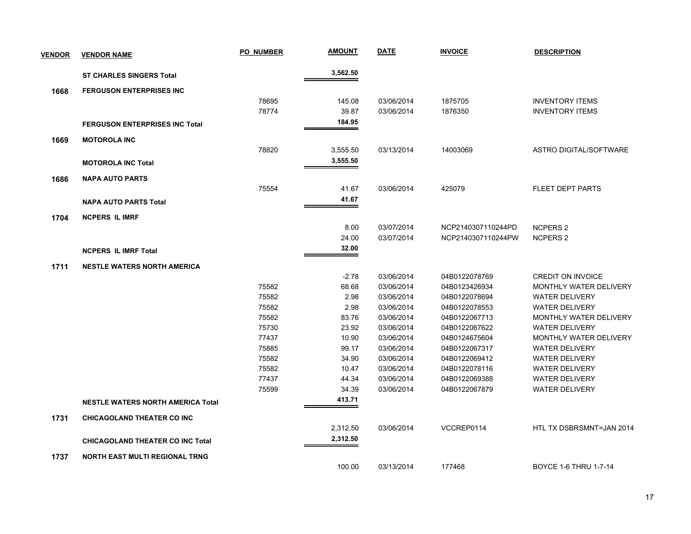| <b>VENDOR</b> | <b>VENDOR NAME</b>                       | <b>PO NUMBER</b> | <b>AMOUNT</b> | <b>DATE</b> | <b>INVOICE</b>     | <b>DESCRIPTION</b>       |
|---------------|------------------------------------------|------------------|---------------|-------------|--------------------|--------------------------|
|               | <b>ST CHARLES SINGERS Total</b>          |                  | 3,562.50      |             |                    |                          |
| 1668          | <b>FERGUSON ENTERPRISES INC</b>          |                  |               |             |                    |                          |
|               |                                          | 78695            | 145.08        | 03/06/2014  | 1875705            | <b>INVENTORY ITEMS</b>   |
|               |                                          | 78774            | 39.87         | 03/06/2014  | 1876350            | <b>INVENTORY ITEMS</b>   |
|               | <b>FERGUSON ENTERPRISES INC Total</b>    |                  | 184.95        |             |                    |                          |
| 1669          | <b>MOTOROLA INC</b>                      |                  |               |             |                    |                          |
|               |                                          | 78820            | 3,555.50      | 03/13/2014  | 14003069           | ASTRO DIGITAL/SOFTWARE   |
|               | <b>MOTOROLA INC Total</b>                |                  | 3,555.50      |             |                    |                          |
| 1686          | <b>NAPA AUTO PARTS</b>                   |                  |               |             |                    |                          |
|               |                                          | 75554            | 41.67         | 03/06/2014  | 425079             | <b>FLEET DEPT PARTS</b>  |
|               | <b>NAPA AUTO PARTS Total</b>             |                  | 41.67         |             |                    |                          |
| 1704          | <b>NCPERS IL IMRF</b>                    |                  |               |             |                    |                          |
|               |                                          |                  | 8.00          | 03/07/2014  | NCP2140307110244PD | <b>NCPERS 2</b>          |
|               |                                          |                  | 24.00         | 03/07/2014  | NCP2140307110244PW | <b>NCPERS 2</b>          |
|               | <b>NCPERS IL IMRF Total</b>              |                  | 32.00         |             |                    |                          |
| 1711          | <b>NESTLE WATERS NORTH AMERICA</b>       |                  |               |             |                    |                          |
|               |                                          |                  | $-2.78$       | 03/06/2014  | 04B0122078769      | <b>CREDIT ON INVOICE</b> |
|               |                                          | 75582            | 68.68         | 03/06/2014  | 04B0123426934      | MONTHLY WATER DELIVERY   |
|               |                                          | 75582            | 2.98          | 03/06/2014  | 04B0122078694      | <b>WATER DELIVERY</b>    |
|               |                                          | 75582            | 2.98          | 03/06/2014  | 04B0122078553      | <b>WATER DELIVERY</b>    |
|               |                                          | 75582            | 83.76         | 03/06/2014  | 04B0122067713      | MONTHLY WATER DELIVERY   |
|               |                                          | 75730            | 23.92         | 03/06/2014  | 04B0122067622      | <b>WATER DELIVERY</b>    |
|               |                                          | 77437            | 10.90         | 03/06/2014  | 04B0124675604      | MONTHLY WATER DELIVERY   |
|               |                                          | 75885            | 99.17         | 03/06/2014  | 04B0122067317      | <b>WATER DELIVERY</b>    |
|               |                                          | 75582            | 34.90         | 03/06/2014  | 04B0122069412      | <b>WATER DELIVERY</b>    |
|               |                                          | 75582            | 10.47         | 03/06/2014  | 04B0122078116      | <b>WATER DELIVERY</b>    |
|               |                                          | 77437            | 44.34         | 03/06/2014  | 04B0122069388      | <b>WATER DELIVERY</b>    |
|               |                                          | 75599            | 34.39         | 03/06/2014  | 04B0122067879      | <b>WATER DELIVERY</b>    |
|               | <b>NESTLE WATERS NORTH AMERICA Total</b> |                  | 413.71        |             |                    |                          |
| 1731          | <b>CHICAGOLAND THEATER CO INC</b>        |                  |               |             |                    |                          |
|               |                                          |                  | 2,312.50      | 03/06/2014  | VCCREP0114         | HTL TX DSBRSMNT=JAN 2014 |
|               | <b>CHICAGOLAND THEATER CO INC Total</b>  |                  | 2,312.50      |             |                    |                          |
| 1737          | <b>NORTH EAST MULTI REGIONAL TRNG</b>    |                  |               |             |                    |                          |
|               |                                          |                  | 100.00        | 03/13/2014  | 177468             | BOYCE 1-6 THRU 1-7-14    |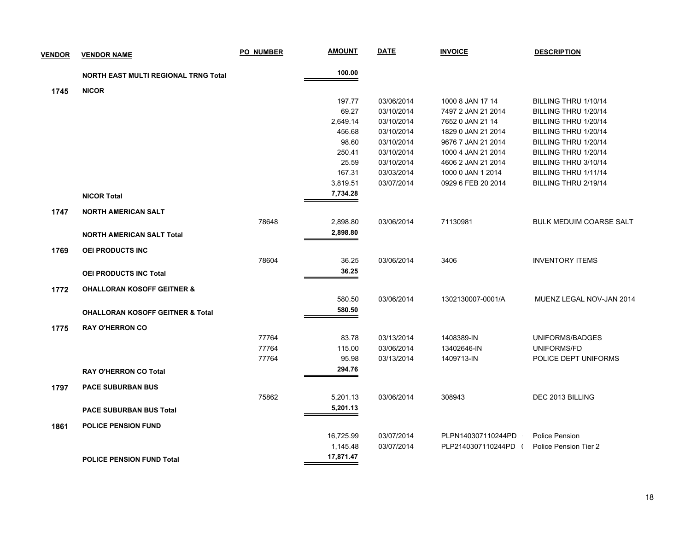| <b>VENDOR</b> | <b>VENDOR NAME</b>                          | <b>PO NUMBER</b> | <u>AMOUNT</u> | <b>DATE</b> | <b>INVOICE</b>     | <b>DESCRIPTION</b>             |
|---------------|---------------------------------------------|------------------|---------------|-------------|--------------------|--------------------------------|
|               | <b>NORTH EAST MULTI REGIONAL TRNG Total</b> |                  | 100.00        |             |                    |                                |
| 1745          | <b>NICOR</b>                                |                  |               |             |                    |                                |
|               |                                             |                  | 197.77        | 03/06/2014  | 1000 8 JAN 17 14   | BILLING THRU 1/10/14           |
|               |                                             |                  | 69.27         | 03/10/2014  | 7497 2 JAN 21 2014 | BILLING THRU 1/20/14           |
|               |                                             |                  | 2,649.14      | 03/10/2014  | 7652 0 JAN 21 14   | BILLING THRU 1/20/14           |
|               |                                             |                  | 456.68        | 03/10/2014  | 1829 0 JAN 21 2014 | BILLING THRU 1/20/14           |
|               |                                             |                  | 98.60         | 03/10/2014  | 9676 7 JAN 21 2014 | BILLING THRU 1/20/14           |
|               |                                             |                  | 250.41        | 03/10/2014  | 1000 4 JAN 21 2014 | BILLING THRU 1/20/14           |
|               |                                             |                  | 25.59         | 03/10/2014  | 4606 2 JAN 21 2014 | BILLING THRU 3/10/14           |
|               |                                             |                  | 167.31        | 03/03/2014  | 1000 0 JAN 1 2014  | BILLING THRU 1/11/14           |
|               |                                             |                  | 3,819.51      | 03/07/2014  | 0929 6 FEB 20 2014 | BILLING THRU 2/19/14           |
|               | <b>NICOR Total</b>                          |                  | 7,734.28      |             |                    |                                |
| 1747          | <b>NORTH AMERICAN SALT</b>                  |                  |               |             |                    |                                |
|               |                                             | 78648            | 2,898.80      | 03/06/2014  | 71130981           | <b>BULK MEDUIM COARSE SALT</b> |
|               | <b>NORTH AMERICAN SALT Total</b>            |                  | 2,898.80      |             |                    |                                |
| 1769          | <b>OEI PRODUCTS INC</b>                     |                  |               |             |                    |                                |
|               |                                             | 78604            | 36.25         | 03/06/2014  | 3406               | <b>INVENTORY ITEMS</b>         |
|               | OEI PRODUCTS INC Total                      |                  | 36.25         |             |                    |                                |
| 1772          | <b>OHALLORAN KOSOFF GEITNER &amp;</b>       |                  |               |             |                    |                                |
|               |                                             |                  | 580.50        | 03/06/2014  | 1302130007-0001/A  | MUENZ LEGAL NOV-JAN 2014       |
|               |                                             |                  | 580.50        |             |                    |                                |
|               | <b>OHALLORAN KOSOFF GEITNER &amp; Total</b> |                  |               |             |                    |                                |
| 1775          | <b>RAY O'HERRON CO</b>                      |                  |               |             |                    |                                |
|               |                                             | 77764            | 83.78         | 03/13/2014  | 1408389-IN         | UNIFORMS/BADGES                |
|               |                                             | 77764            | 115.00        | 03/06/2014  | 13402646-IN        | UNIFORMS/FD                    |
|               |                                             | 77764            | 95.98         | 03/13/2014  | 1409713-IN         | POLICE DEPT UNIFORMS           |
|               | <b>RAY O'HERRON CO Total</b>                |                  | 294.76        |             |                    |                                |
| 1797          | <b>PACE SUBURBAN BUS</b>                    |                  |               |             |                    |                                |
|               |                                             | 75862            | 5,201.13      | 03/06/2014  | 308943             | DEC 2013 BILLING               |
|               | <b>PACE SUBURBAN BUS Total</b>              |                  | 5,201.13      |             |                    |                                |
| 1861          | <b>POLICE PENSION FUND</b>                  |                  |               |             |                    |                                |
|               |                                             |                  | 16,725.99     | 03/07/2014  | PLPN140307110244PD | Police Pension                 |
|               |                                             |                  | 1,145.48      | 03/07/2014  | PLP2140307110244PD | Police Pension Tier 2          |
|               | <b>POLICE PENSION FUND Total</b>            |                  | 17,871.47     |             |                    |                                |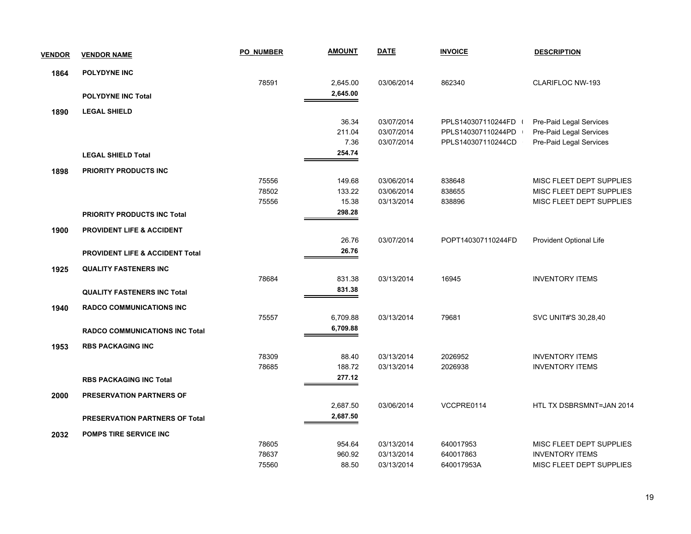| <b>VENDOR</b> | <b>VENDOR NAME</b>                         | <b>PO NUMBER</b> | <b>AMOUNT</b> | <b>DATE</b> | <b>INVOICE</b>     | <b>DESCRIPTION</b>       |
|---------------|--------------------------------------------|------------------|---------------|-------------|--------------------|--------------------------|
| 1864          | <b>POLYDYNE INC</b>                        |                  |               |             |                    |                          |
|               |                                            | 78591            | 2,645.00      | 03/06/2014  | 862340             | <b>CLARIFLOC NW-193</b>  |
|               | <b>POLYDYNE INC Total</b>                  |                  | 2,645.00      |             |                    |                          |
| 1890          | <b>LEGAL SHIELD</b>                        |                  |               |             |                    |                          |
|               |                                            |                  | 36.34         | 03/07/2014  | PPLS140307110244FD | Pre-Paid Legal Services  |
|               |                                            |                  | 211.04        | 03/07/2014  | PPLS140307110244PD | Pre-Paid Legal Services  |
|               |                                            |                  | 7.36          | 03/07/2014  | PPLS140307110244CD | Pre-Paid Legal Services  |
|               | <b>LEGAL SHIELD Total</b>                  |                  | 254.74        |             |                    |                          |
| 1898          | <b>PRIORITY PRODUCTS INC</b>               |                  |               |             |                    |                          |
|               |                                            | 75556            | 149.68        | 03/06/2014  | 838648             | MISC FLEET DEPT SUPPLIES |
|               |                                            | 78502            | 133.22        | 03/06/2014  | 838655             | MISC FLEET DEPT SUPPLIES |
|               |                                            | 75556            | 15.38         | 03/13/2014  | 838896             | MISC FLEET DEPT SUPPLIES |
|               | <b>PRIORITY PRODUCTS INC Total</b>         |                  | 298.28        |             |                    |                          |
| 1900          | <b>PROVIDENT LIFE &amp; ACCIDENT</b>       |                  |               |             |                    |                          |
|               |                                            |                  | 26.76         | 03/07/2014  | POPT140307110244FD | Provident Optional Life  |
|               | <b>PROVIDENT LIFE &amp; ACCIDENT Total</b> |                  | 26.76         |             |                    |                          |
| 1925          | <b>QUALITY FASTENERS INC</b>               |                  |               |             |                    |                          |
|               |                                            | 78684            | 831.38        | 03/13/2014  | 16945              | <b>INVENTORY ITEMS</b>   |
|               | <b>QUALITY FASTENERS INC Total</b>         |                  | 831.38        |             |                    |                          |
| 1940          | <b>RADCO COMMUNICATIONS INC</b>            |                  |               |             |                    |                          |
|               |                                            | 75557            | 6,709.88      | 03/13/2014  | 79681              | SVC UNIT#'S 30,28,40     |
|               | <b>RADCO COMMUNICATIONS INC Total</b>      |                  | 6,709.88      |             |                    |                          |
| 1953          | <b>RBS PACKAGING INC</b>                   |                  |               |             |                    |                          |
|               |                                            | 78309            | 88.40         | 03/13/2014  | 2026952            | <b>INVENTORY ITEMS</b>   |
|               |                                            | 78685            | 188.72        | 03/13/2014  | 2026938            | <b>INVENTORY ITEMS</b>   |
|               | <b>RBS PACKAGING INC Total</b>             |                  | 277.12        |             |                    |                          |
| 2000          | <b>PRESERVATION PARTNERS OF</b>            |                  |               |             |                    |                          |
|               |                                            |                  | 2,687.50      | 03/06/2014  | VCCPRE0114         | HTL TX DSBRSMNT=JAN 2014 |
|               | PRESERVATION PARTNERS OF Total             |                  | 2,687.50      |             |                    |                          |
| 2032          | <b>POMPS TIRE SERVICE INC</b>              |                  |               |             |                    |                          |
|               |                                            | 78605            | 954.64        | 03/13/2014  | 640017953          | MISC FLEET DEPT SUPPLIES |
|               |                                            | 78637            | 960.92        | 03/13/2014  | 640017863          | <b>INVENTORY ITEMS</b>   |
|               |                                            | 75560            | 88.50         | 03/13/2014  | 640017953A         | MISC FLEET DEPT SUPPLIES |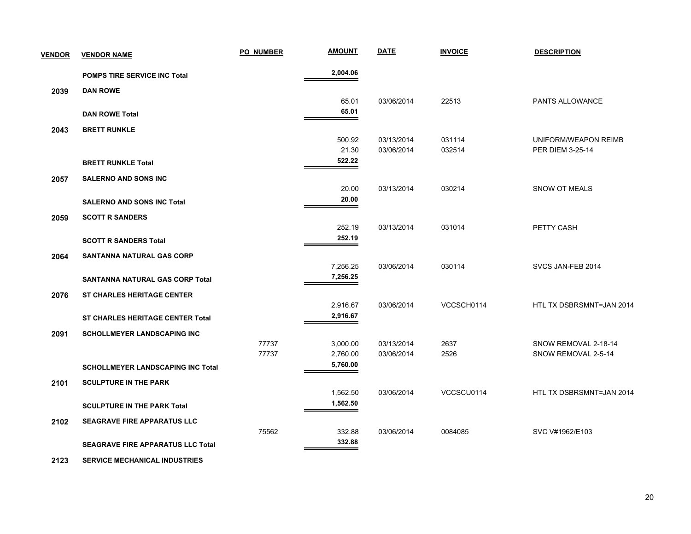| <b>VENDOR</b> | <b>VENDOR NAME</b>                       | <b>PO NUMBER</b> | <b>AMOUNT</b>   | <b>DATE</b> | <b>INVOICE</b> | <b>DESCRIPTION</b>       |
|---------------|------------------------------------------|------------------|-----------------|-------------|----------------|--------------------------|
|               | <b>POMPS TIRE SERVICE INC Total</b>      |                  | 2,004.06        |             |                |                          |
| 2039          | <b>DAN ROWE</b>                          |                  |                 |             |                |                          |
|               |                                          |                  | 65.01           | 03/06/2014  | 22513          | PANTS ALLOWANCE          |
|               | <b>DAN ROWE Total</b>                    |                  | 65.01           |             |                |                          |
| 2043          | <b>BRETT RUNKLE</b>                      |                  |                 |             |                |                          |
|               |                                          |                  | 500.92          | 03/13/2014  | 031114         | UNIFORM/WEAPON REIMB     |
|               |                                          |                  | 21.30<br>522.22 | 03/06/2014  | 032514         | PER DIEM 3-25-14         |
|               | <b>BRETT RUNKLE Total</b>                |                  |                 |             |                |                          |
| 2057          | SALERNO AND SONS INC                     |                  |                 |             |                |                          |
|               |                                          |                  | 20.00<br>20.00  | 03/13/2014  | 030214         | SNOW OT MEALS            |
|               | <b>SALERNO AND SONS INC Total</b>        |                  |                 |             |                |                          |
| 2059          | <b>SCOTT R SANDERS</b>                   |                  | 252.19          | 03/13/2014  | 031014         | PETTY CASH               |
|               | <b>SCOTT R SANDERS Total</b>             |                  | 252.19          |             |                |                          |
|               |                                          |                  |                 |             |                |                          |
| 2064          | <b>SANTANNA NATURAL GAS CORP</b>         |                  | 7,256.25        | 03/06/2014  | 030114         | SVCS JAN-FEB 2014        |
|               | SANTANNA NATURAL GAS CORP Total          |                  | 7,256.25        |             |                |                          |
|               | <b>ST CHARLES HERITAGE CENTER</b>        |                  |                 |             |                |                          |
| 2076          |                                          |                  | 2,916.67        | 03/06/2014  | VCCSCH0114     | HTL TX DSBRSMNT=JAN 2014 |
|               | <b>ST CHARLES HERITAGE CENTER Total</b>  |                  | 2,916.67        |             |                |                          |
| 2091          | <b>SCHOLLMEYER LANDSCAPING INC</b>       |                  |                 |             |                |                          |
|               |                                          | 77737            | 3,000.00        | 03/13/2014  | 2637           | SNOW REMOVAL 2-18-14     |
|               |                                          | 77737            | 2,760.00        | 03/06/2014  | 2526           | SNOW REMOVAL 2-5-14      |
|               | <b>SCHOLLMEYER LANDSCAPING INC Total</b> |                  | 5,760.00        |             |                |                          |
| 2101          | <b>SCULPTURE IN THE PARK</b>             |                  |                 |             |                |                          |
|               |                                          |                  | 1,562.50        | 03/06/2014  | VCCSCU0114     | HTL TX DSBRSMNT=JAN 2014 |
|               | <b>SCULPTURE IN THE PARK Total</b>       |                  | 1,562.50        |             |                |                          |
| 2102          | <b>SEAGRAVE FIRE APPARATUS LLC</b>       |                  |                 |             |                |                          |
|               |                                          | 75562            | 332.88          | 03/06/2014  | 0084085        | SVC V#1962/E103          |
|               | <b>SEAGRAVE FIRE APPARATUS LLC Total</b> |                  | 332.88          |             |                |                          |
|               |                                          |                  |                 |             |                |                          |

 **2123 SERVICE MECHANICAL INDUSTRIES**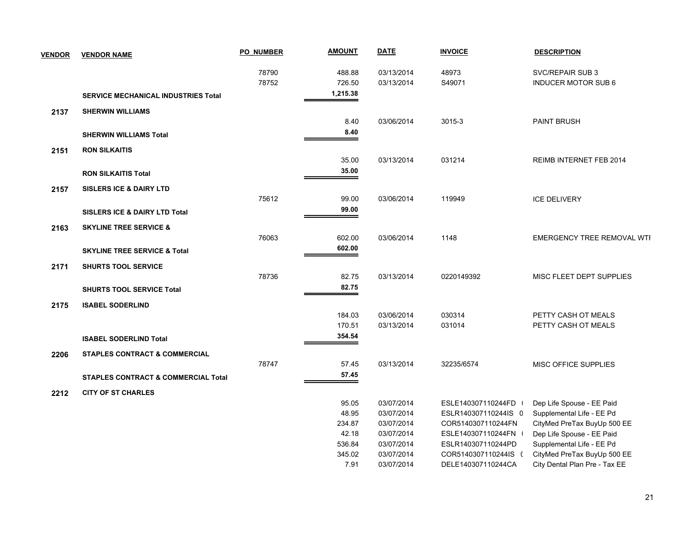| <b>VENDOR</b> | <b>VENDOR NAME</b>                             | <b>PO NUMBER</b> | <b>AMOUNT</b> | <b>DATE</b> | <b>INVOICE</b>       | <b>DESCRIPTION</b>                |
|---------------|------------------------------------------------|------------------|---------------|-------------|----------------------|-----------------------------------|
|               |                                                | 78790            | 488.88        | 03/13/2014  | 48973                | SVC/REPAIR SUB 3                  |
|               |                                                | 78752            | 726.50        | 03/13/2014  | S49071               | <b>INDUCER MOTOR SUB 6</b>        |
|               | <b>SERVICE MECHANICAL INDUSTRIES Total</b>     |                  | 1,215.38      |             |                      |                                   |
| 2137          | <b>SHERWIN WILLIAMS</b>                        |                  |               |             |                      |                                   |
|               |                                                |                  | 8.40          | 03/06/2014  | $3015 - 3$           | PAINT BRUSH                       |
|               | <b>SHERWIN WILLIAMS Total</b>                  |                  | 8.40          |             |                      |                                   |
| 2151          | <b>RON SILKAITIS</b>                           |                  |               |             |                      |                                   |
|               |                                                |                  | 35.00         | 03/13/2014  | 031214               | REIMB INTERNET FEB 2014           |
|               | <b>RON SILKAITIS Total</b>                     |                  | 35.00         |             |                      |                                   |
|               |                                                |                  |               |             |                      |                                   |
| 2157          | <b>SISLERS ICE &amp; DAIRY LTD</b>             | 75612            | 99.00         | 03/06/2014  | 119949               | <b>ICE DELIVERY</b>               |
|               |                                                |                  | 99.00         |             |                      |                                   |
|               | <b>SISLERS ICE &amp; DAIRY LTD Total</b>       |                  |               |             |                      |                                   |
| 2163          | <b>SKYLINE TREE SERVICE &amp;</b>              |                  |               |             |                      |                                   |
|               |                                                | 76063            | 602.00        | 03/06/2014  | 1148                 | <b>EMERGENCY TREE REMOVAL WTI</b> |
|               | <b>SKYLINE TREE SERVICE &amp; Total</b>        |                  | 602.00        |             |                      |                                   |
| 2171          | <b>SHURTS TOOL SERVICE</b>                     |                  |               |             |                      |                                   |
|               |                                                | 78736            | 82.75         | 03/13/2014  | 0220149392           | MISC FLEET DEPT SUPPLIES          |
|               | <b>SHURTS TOOL SERVICE Total</b>               |                  | 82.75         |             |                      |                                   |
| 2175          | <b>ISABEL SODERLIND</b>                        |                  |               |             |                      |                                   |
|               |                                                |                  | 184.03        | 03/06/2014  | 030314               | PETTY CASH OT MEALS               |
|               |                                                |                  | 170.51        | 03/13/2014  | 031014               | PETTY CASH OT MEALS               |
|               | <b>ISABEL SODERLIND Total</b>                  |                  | 354.54        |             |                      |                                   |
| 2206          | <b>STAPLES CONTRACT &amp; COMMERCIAL</b>       |                  |               |             |                      |                                   |
|               |                                                | 78747            | 57.45         | 03/13/2014  | 32235/6574           | <b>MISC OFFICE SUPPLIES</b>       |
|               | <b>STAPLES CONTRACT &amp; COMMERCIAL Total</b> |                  | 57.45         |             |                      |                                   |
| 2212          | <b>CITY OF ST CHARLES</b>                      |                  |               |             |                      |                                   |
|               |                                                |                  | 95.05         | 03/07/2014  | ESLE140307110244FD   | Dep Life Spouse - EE Paid         |
|               |                                                |                  | 48.95         | 03/07/2014  | ESLR140307110244IS 0 | Supplemental Life - EE Pd         |
|               |                                                |                  | 234.87        | 03/07/2014  | COR5140307110244FN   | CityMed PreTax BuyUp 500 EE       |
|               |                                                |                  | 42.18         | 03/07/2014  | ESLE140307110244FN \ | Dep Life Spouse - EE Paid         |
|               |                                                |                  | 536.84        | 03/07/2014  | ESLR140307110244PD   | Supplemental Life - EE Pd         |
|               |                                                |                  | 345.02        | 03/07/2014  | COR5140307110244IS ( | CityMed PreTax BuyUp 500 EE       |
|               |                                                |                  | 7.91          | 03/07/2014  | DELE140307110244CA   | City Dental Plan Pre - Tax EE     |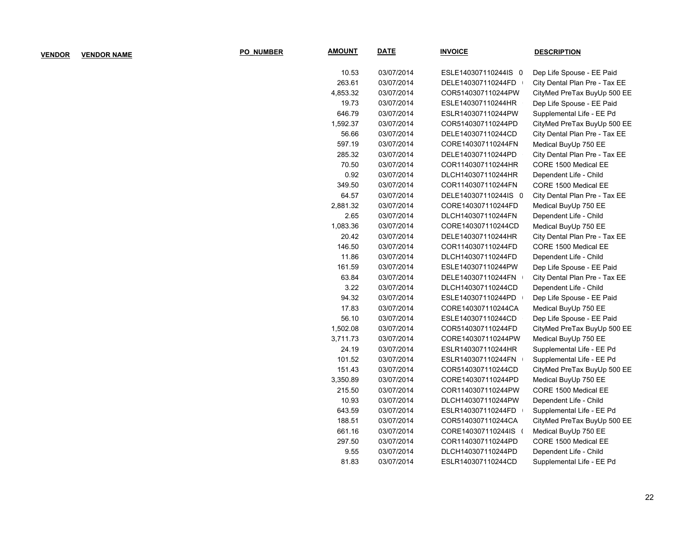| <b>VENDOR</b> | <b>VENDOR NAME</b> | <b>PO NUMBER</b> | <b>AMOUNT</b> | <u>DATE</u> | <b>INVOICE</b>       | <b>DESCRIPTION</b>            |
|---------------|--------------------|------------------|---------------|-------------|----------------------|-------------------------------|
|               |                    |                  | 10.53         | 03/07/2014  | ESLE140307110244IS 0 | Dep Life Spouse - EE Paid     |
|               |                    |                  | 263.61        | 03/07/2014  | DELE140307110244FD   | City Dental Plan Pre - Tax EE |
|               |                    |                  | 4,853.32      | 03/07/2014  | COR5140307110244PW   | CityMed PreTax BuyUp 500 EE   |
|               |                    |                  | 19.73         | 03/07/2014  | ESLE140307110244HR   | Dep Life Spouse - EE Paid     |
|               |                    |                  | 646.79        | 03/07/2014  | ESLR140307110244PW   | Supplemental Life - EE Pd     |
|               |                    |                  | 1,592.37      | 03/07/2014  | COR5140307110244PD   | CityMed PreTax BuyUp 500 EE   |
|               |                    |                  | 56.66         | 03/07/2014  | DELE140307110244CD   | City Dental Plan Pre - Tax EE |
|               |                    |                  | 597.19        | 03/07/2014  | CORE140307110244FN   | Medical BuyUp 750 EE          |
|               |                    |                  | 285.32        | 03/07/2014  | DELE140307110244PD   | City Dental Plan Pre - Tax EE |
|               |                    |                  | 70.50         | 03/07/2014  | COR1140307110244HR   | CORE 1500 Medical EE          |
|               |                    |                  | 0.92          | 03/07/2014  | DLCH140307110244HR   | Dependent Life - Child        |
|               |                    |                  | 349.50        | 03/07/2014  | COR1140307110244FN   | CORE 1500 Medical EE          |
|               |                    |                  | 64.57         | 03/07/2014  | DELE140307110244IS 0 | City Dental Plan Pre - Tax EE |
|               |                    |                  | 2,881.32      | 03/07/2014  | CORE140307110244FD   | Medical BuyUp 750 EE          |
|               |                    |                  | 2.65          | 03/07/2014  | DLCH140307110244FN   | Dependent Life - Child        |
|               |                    |                  | 1,083.36      | 03/07/2014  | CORE140307110244CD   | Medical BuyUp 750 EE          |
|               |                    |                  | 20.42         | 03/07/2014  | DELE140307110244HR   | City Dental Plan Pre - Tax EE |
|               |                    |                  | 146.50        | 03/07/2014  | COR1140307110244FD   | CORE 1500 Medical EE          |
|               |                    |                  | 11.86         | 03/07/2014  | DLCH140307110244FD   | Dependent Life - Child        |
|               |                    |                  | 161.59        | 03/07/2014  | ESLE140307110244PW   | Dep Life Spouse - EE Paid     |
|               |                    |                  | 63.84         | 03/07/2014  | DELE140307110244FN   | City Dental Plan Pre - Tax EE |
|               |                    |                  | 3.22          | 03/07/2014  | DLCH140307110244CD   | Dependent Life - Child        |
|               |                    |                  | 94.32         | 03/07/2014  | ESLE140307110244PD   | Dep Life Spouse - EE Paid     |
|               |                    |                  | 17.83         | 03/07/2014  | CORE140307110244CA   | Medical BuyUp 750 EE          |
|               |                    |                  | 56.10         | 03/07/2014  | ESLE140307110244CD   | Dep Life Spouse - EE Paid     |
|               |                    |                  | 1,502.08      | 03/07/2014  | COR5140307110244FD   | CityMed PreTax BuyUp 500 EE   |
|               |                    |                  | 3,711.73      | 03/07/2014  | CORE140307110244PW   | Medical BuyUp 750 EE          |
|               |                    |                  | 24.19         | 03/07/2014  | ESLR140307110244HR   | Supplemental Life - EE Pd     |
|               |                    |                  | 101.52        | 03/07/2014  | ESLR140307110244FN   | Supplemental Life - EE Pd     |
|               |                    |                  | 151.43        | 03/07/2014  | COR5140307110244CD   | CityMed PreTax BuyUp 500 EE   |
|               |                    |                  | 3,350.89      | 03/07/2014  | CORE140307110244PD   | Medical BuyUp 750 EE          |
|               |                    |                  | 215.50        | 03/07/2014  | COR1140307110244PW   | CORE 1500 Medical EE          |
|               |                    |                  | 10.93         | 03/07/2014  | DLCH140307110244PW   | Dependent Life - Child        |
|               |                    |                  | 643.59        | 03/07/2014  | ESLR140307110244FD   | Supplemental Life - EE Pd     |
|               |                    |                  | 188.51        | 03/07/2014  | COR5140307110244CA   | CityMed PreTax BuyUp 500 EE   |
|               |                    |                  | 661.16        | 03/07/2014  | CORE140307110244IS ( | Medical BuyUp 750 EE          |
|               |                    |                  | 297.50        | 03/07/2014  | COR1140307110244PD   | CORE 1500 Medical EE          |
|               |                    |                  | 9.55          | 03/07/2014  | DLCH140307110244PD   | Dependent Life - Child        |
|               |                    |                  | 81.83         | 03/07/2014  | ESLR140307110244CD   | Supplemental Life - EE Pd     |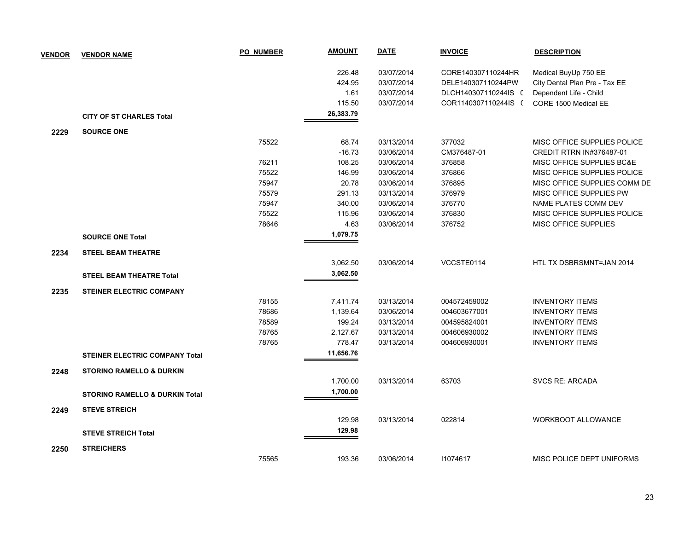| <b>VENDOR</b> | <b>VENDOR NAME</b>                        | <b>PO NUMBER</b> | <b>AMOUNT</b> | <b>DATE</b> | <b>INVOICE</b>       | <b>DESCRIPTION</b>            |
|---------------|-------------------------------------------|------------------|---------------|-------------|----------------------|-------------------------------|
|               |                                           |                  | 226.48        | 03/07/2014  | CORE140307110244HR   | Medical BuyUp 750 EE          |
|               |                                           |                  | 424.95        | 03/07/2014  | DELE140307110244PW   | City Dental Plan Pre - Tax EE |
|               |                                           |                  | 1.61          | 03/07/2014  | DLCH140307110244IS ( | Dependent Life - Child        |
|               |                                           |                  | 115.50        | 03/07/2014  | COR1140307110244IS ( | CORE 1500 Medical EE          |
|               | <b>CITY OF ST CHARLES Total</b>           |                  | 26,383.79     |             |                      |                               |
| 2229          | <b>SOURCE ONE</b>                         |                  |               |             |                      |                               |
|               |                                           | 75522            | 68.74         | 03/13/2014  | 377032               | MISC OFFICE SUPPLIES POLICE   |
|               |                                           |                  | $-16.73$      | 03/06/2014  | CM376487-01          | CREDIT RTRN IN#376487-01      |
|               |                                           | 76211            | 108.25        | 03/06/2014  | 376858               | MISC OFFICE SUPPLIES BC&E     |
|               |                                           | 75522            | 146.99        | 03/06/2014  | 376866               | MISC OFFICE SUPPLIES POLICE   |
|               |                                           | 75947            | 20.78         | 03/06/2014  | 376895               | MISC OFFICE SUPPLIES COMM DE  |
|               |                                           | 75579            | 291.13        | 03/13/2014  | 376979               | MISC OFFICE SUPPLIES PW       |
|               |                                           | 75947            | 340.00        | 03/06/2014  | 376770               | NAME PLATES COMM DEV          |
|               |                                           | 75522            | 115.96        | 03/06/2014  | 376830               | MISC OFFICE SUPPLIES POLICE   |
|               |                                           | 78646            | 4.63          | 03/06/2014  | 376752               | MISC OFFICE SUPPLIES          |
|               | <b>SOURCE ONE Total</b>                   |                  | 1,079.75      |             |                      |                               |
| 2234          | <b>STEEL BEAM THEATRE</b>                 |                  |               |             |                      |                               |
|               |                                           |                  | 3,062.50      | 03/06/2014  | VCCSTE0114           | HTL TX DSBRSMNT=JAN 2014      |
|               | <b>STEEL BEAM THEATRE Total</b>           |                  | 3,062.50      |             |                      |                               |
|               |                                           |                  |               |             |                      |                               |
| 2235          | <b>STEINER ELECTRIC COMPANY</b>           |                  |               |             |                      |                               |
|               |                                           | 78155            | 7,411.74      | 03/13/2014  | 004572459002         | <b>INVENTORY ITEMS</b>        |
|               |                                           | 78686            | 1,139.64      | 03/06/2014  | 004603677001         | <b>INVENTORY ITEMS</b>        |
|               |                                           | 78589            | 199.24        | 03/13/2014  | 004595824001         | <b>INVENTORY ITEMS</b>        |
|               |                                           | 78765            | 2,127.67      | 03/13/2014  | 004606930002         | <b>INVENTORY ITEMS</b>        |
|               |                                           | 78765            | 778.47        | 03/13/2014  | 004606930001         | <b>INVENTORY ITEMS</b>        |
|               | <b>STEINER ELECTRIC COMPANY Total</b>     |                  | 11,656.76     |             |                      |                               |
| 2248          | <b>STORINO RAMELLO &amp; DURKIN</b>       |                  |               |             |                      |                               |
|               |                                           |                  | 1,700.00      | 03/13/2014  | 63703                | <b>SVCS RE: ARCADA</b>        |
|               | <b>STORINO RAMELLO &amp; DURKIN Total</b> |                  | 1,700.00      |             |                      |                               |
| 2249          | <b>STEVE STREICH</b>                      |                  |               |             |                      |                               |
|               |                                           |                  | 129.98        | 03/13/2014  | 022814               | <b>WORKBOOT ALLOWANCE</b>     |
|               | <b>STEVE STREICH Total</b>                |                  | 129.98        |             |                      |                               |
| 2250          | <b>STREICHERS</b>                         |                  |               |             |                      |                               |
|               |                                           | 75565            | 193.36        | 03/06/2014  | 11074617             | MISC POLICE DEPT UNIFORMS     |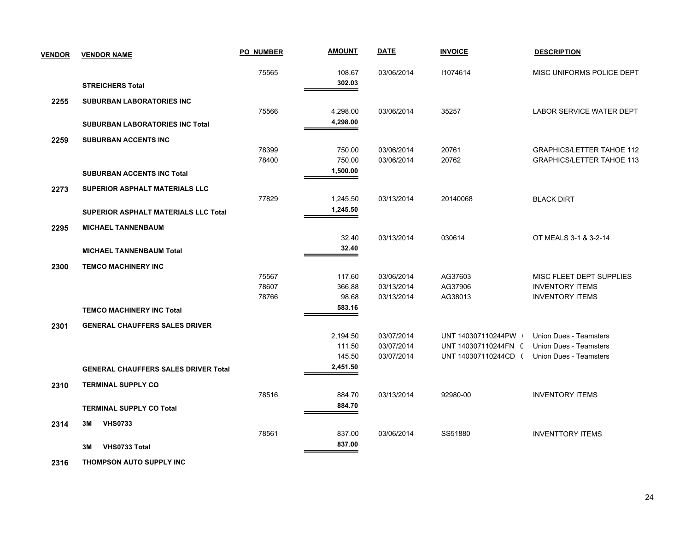| <b>VENDOR</b> | <b>VENDOR NAME</b>                          | <b>PO NUMBER</b> | <b>AMOUNT</b> | <b>DATE</b> | <b>INVOICE</b>       | <b>DESCRIPTION</b>               |
|---------------|---------------------------------------------|------------------|---------------|-------------|----------------------|----------------------------------|
|               |                                             | 75565            | 108.67        | 03/06/2014  | 11074614             | MISC UNIFORMS POLICE DEPT        |
|               | <b>STREICHERS Total</b>                     |                  | 302.03        |             |                      |                                  |
| 2255          | <b>SUBURBAN LABORATORIES INC</b>            |                  |               |             |                      |                                  |
|               |                                             | 75566            | 4,298.00      | 03/06/2014  | 35257                | <b>LABOR SERVICE WATER DEPT</b>  |
|               | <b>SUBURBAN LABORATORIES INC Total</b>      |                  | 4,298.00      |             |                      |                                  |
| 2259          | <b>SUBURBAN ACCENTS INC</b>                 |                  |               |             |                      |                                  |
|               |                                             | 78399            | 750.00        | 03/06/2014  | 20761                | <b>GRAPHICS/LETTER TAHOE 112</b> |
|               |                                             | 78400            | 750.00        | 03/06/2014  | 20762                | <b>GRAPHICS/LETTER TAHOE 113</b> |
|               | <b>SUBURBAN ACCENTS INC Total</b>           |                  | 1,500.00      |             |                      |                                  |
| 2273          | <b>SUPERIOR ASPHALT MATERIALS LLC</b>       |                  |               |             |                      |                                  |
|               |                                             | 77829            | 1,245.50      | 03/13/2014  | 20140068             | <b>BLACK DIRT</b>                |
|               | <b>SUPERIOR ASPHALT MATERIALS LLC Total</b> |                  | 1,245.50      |             |                      |                                  |
| 2295          | <b>MICHAEL TANNENBAUM</b>                   |                  |               |             |                      |                                  |
|               |                                             |                  | 32.40         | 03/13/2014  | 030614               | OT MEALS 3-1 & 3-2-14            |
|               | <b>MICHAEL TANNENBAUM Total</b>             |                  | 32.40         |             |                      |                                  |
| 2300          | <b>TEMCO MACHINERY INC</b>                  |                  |               |             |                      |                                  |
|               |                                             | 75567            | 117.60        | 03/06/2014  | AG37603              | MISC FLEET DEPT SUPPLIES         |
|               |                                             | 78607            | 366.88        | 03/13/2014  | AG37906              | <b>INVENTORY ITEMS</b>           |
|               |                                             | 78766            | 98.68         | 03/13/2014  | AG38013              | <b>INVENTORY ITEMS</b>           |
|               | <b>TEMCO MACHINERY INC Total</b>            |                  | 583.16        |             |                      |                                  |
| 2301          | <b>GENERAL CHAUFFERS SALES DRIVER</b>       |                  |               |             |                      |                                  |
|               |                                             |                  | 2,194.50      | 03/07/2014  | UNT 140307110244PW   | Union Dues - Teamsters           |
|               |                                             |                  | 111.50        | 03/07/2014  | UNT 140307110244FN ( | Union Dues - Teamsters           |
|               |                                             |                  | 145.50        | 03/07/2014  | UNT 140307110244CD ( | <b>Union Dues - Teamsters</b>    |
|               | <b>GENERAL CHAUFFERS SALES DRIVER Total</b> |                  | 2,451.50      |             |                      |                                  |
| 2310          | <b>TERMINAL SUPPLY CO</b>                   |                  |               |             |                      |                                  |
|               |                                             | 78516            | 884.70        | 03/13/2014  | 92980-00             | <b>INVENTORY ITEMS</b>           |
|               | <b>TERMINAL SUPPLY CO Total</b>             |                  | 884.70        |             |                      |                                  |
| 2314          | <b>VHS0733</b><br>3M                        |                  |               |             |                      |                                  |
|               |                                             | 78561            | 837.00        | 03/06/2014  | SS51880              | <b>INVENTTORY ITEMS</b>          |
|               | VHS0733 Total<br>3M                         |                  | 837.00        |             |                      |                                  |

 **2316 THOMPSON AUTO SUPPLY INC**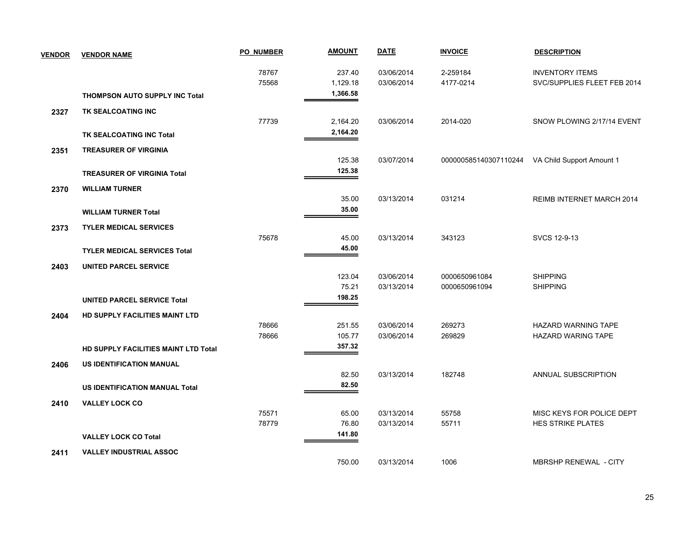| <b>VENDOR</b> | <b>VENDOR NAME</b>                    | <b>PO NUMBER</b> | <b>AMOUNT</b> | <b>DATE</b> | <b>INVOICE</b>        | <b>DESCRIPTION</b>           |
|---------------|---------------------------------------|------------------|---------------|-------------|-----------------------|------------------------------|
|               |                                       | 78767            | 237.40        | 03/06/2014  | 2-259184              | <b>INVENTORY ITEMS</b>       |
|               |                                       | 75568            | 1,129.18      | 03/06/2014  | 4177-0214             | SVC/SUPPLIES FLEET FEB 2014  |
|               | <b>THOMPSON AUTO SUPPLY INC Total</b> |                  | 1,366.58      |             |                       |                              |
| 2327          | TK SEALCOATING INC                    |                  |               |             |                       |                              |
|               |                                       | 77739            | 2,164.20      | 03/06/2014  | 2014-020              | SNOW PLOWING 2/17/14 EVENT   |
|               | TK SEALCOATING INC Total              |                  | 2,164.20      |             |                       |                              |
| 2351          | <b>TREASURER OF VIRGINIA</b>          |                  |               |             |                       |                              |
|               |                                       |                  | 125.38        | 03/07/2014  | 000000585140307110244 | VA Child Support Amount 1    |
|               | <b>TREASURER OF VIRGINIA Total</b>    |                  | 125.38        |             |                       |                              |
| 2370          | <b>WILLIAM TURNER</b>                 |                  |               |             |                       |                              |
|               |                                       |                  | 35.00         | 03/13/2014  | 031214                | REIMB INTERNET MARCH 2014    |
|               | <b>WILLIAM TURNER Total</b>           |                  | 35.00         |             |                       |                              |
| 2373          | <b>TYLER MEDICAL SERVICES</b>         |                  |               |             |                       |                              |
|               |                                       | 75678            | 45.00         | 03/13/2014  | 343123                | SVCS 12-9-13                 |
|               | <b>TYLER MEDICAL SERVICES Total</b>   |                  | 45.00         |             |                       |                              |
| 2403          | <b>UNITED PARCEL SERVICE</b>          |                  |               |             |                       |                              |
|               |                                       |                  | 123.04        | 03/06/2014  | 0000650961084         | <b>SHIPPING</b>              |
|               |                                       |                  | 75.21         | 03/13/2014  | 0000650961094         | <b>SHIPPING</b>              |
|               | <b>UNITED PARCEL SERVICE Total</b>    |                  | 198.25        |             |                       |                              |
| 2404          | <b>HD SUPPLY FACILITIES MAINT LTD</b> |                  |               |             |                       |                              |
|               |                                       | 78666            | 251.55        | 03/06/2014  | 269273                | <b>HAZARD WARNING TAPE</b>   |
|               |                                       | 78666            | 105.77        | 03/06/2014  | 269829                | <b>HAZARD WARING TAPE</b>    |
|               | HD SUPPLY FACILITIES MAINT LTD Total  |                  | 357.32        |             |                       |                              |
| 2406          | US IDENTIFICATION MANUAL              |                  |               |             |                       |                              |
|               |                                       |                  | 82.50         | 03/13/2014  | 182748                | ANNUAL SUBSCRIPTION          |
|               | <b>US IDENTIFICATION MANUAL Total</b> |                  | 82.50         |             |                       |                              |
| 2410          | <b>VALLEY LOCK CO</b>                 |                  |               |             |                       |                              |
|               |                                       | 75571            | 65.00         | 03/13/2014  | 55758                 | MISC KEYS FOR POLICE DEPT    |
|               |                                       | 78779            | 76.80         | 03/13/2014  | 55711                 | <b>HES STRIKE PLATES</b>     |
|               | <b>VALLEY LOCK CO Total</b>           |                  | 141.80        |             |                       |                              |
| 2411          | <b>VALLEY INDUSTRIAL ASSOC</b>        |                  |               |             |                       |                              |
|               |                                       |                  | 750.00        | 03/13/2014  | 1006                  | <b>MBRSHP RENEWAL - CITY</b> |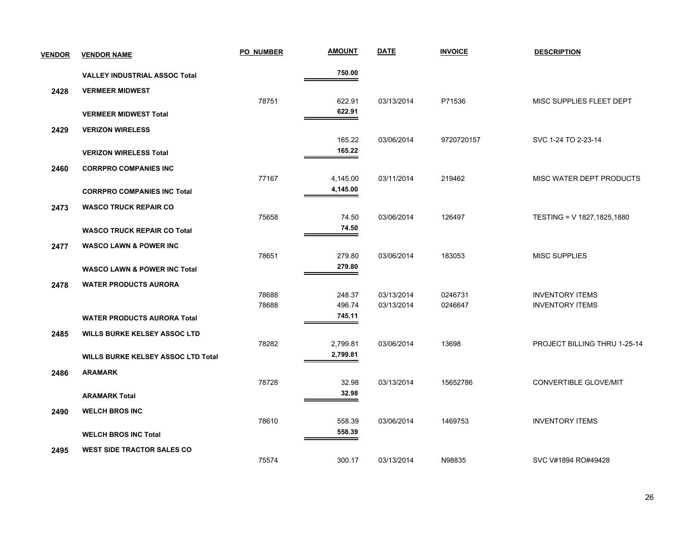| <b>VENDOR</b> | <b>VENDOR NAME</b>                        | <b>PO NUMBER</b> | <b>AMOUNT</b> | <b>DATE</b> | <b>INVOICE</b> | <b>DESCRIPTION</b>           |
|---------------|-------------------------------------------|------------------|---------------|-------------|----------------|------------------------------|
|               | <b>VALLEY INDUSTRIAL ASSOC Total</b>      |                  | 750.00        |             |                |                              |
| 2428          | <b>VERMEER MIDWEST</b>                    |                  |               |             |                |                              |
|               |                                           | 78751            | 622.91        | 03/13/2014  | P71536         | MISC SUPPLIES FLEET DEPT     |
|               | <b>VERMEER MIDWEST Total</b>              |                  | 622.91        |             |                |                              |
| 2429          | <b>VERIZON WIRELESS</b>                   |                  |               |             |                |                              |
|               |                                           |                  | 165.22        | 03/06/2014  | 9720720157     | SVC 1-24 TO 2-23-14          |
|               | <b>VERIZON WIRELESS Total</b>             |                  | 165.22        |             |                |                              |
| 2460          | <b>CORRPRO COMPANIES INC</b>              |                  |               |             |                |                              |
|               |                                           | 77167            | 4,145.00      | 03/11/2014  | 219462         | MISC WATER DEPT PRODUCTS     |
|               | <b>CORRPRO COMPANIES INC Total</b>        |                  | 4,145.00      |             |                |                              |
| 2473          | <b>WASCO TRUCK REPAIR CO</b>              |                  |               |             |                |                              |
|               |                                           | 75658            | 74.50         | 03/06/2014  | 126497         | TESTING = V 1827, 1825, 1880 |
|               | <b>WASCO TRUCK REPAIR CO Total</b>        |                  | 74.50         |             |                |                              |
| 2477          | <b>WASCO LAWN &amp; POWER INC</b>         |                  |               |             |                |                              |
|               |                                           | 78651            | 279.80        | 03/06/2014  | 183053         | <b>MISC SUPPLIES</b>         |
|               | <b>WASCO LAWN &amp; POWER INC Total</b>   |                  | 279.80        |             |                |                              |
| 2478          | <b>WATER PRODUCTS AURORA</b>              |                  |               |             |                |                              |
|               |                                           | 78688            | 248.37        | 03/13/2014  | 0246731        | <b>INVENTORY ITEMS</b>       |
|               |                                           | 78688            | 496.74        | 03/13/2014  | 0246647        | <b>INVENTORY ITEMS</b>       |
|               | <b>WATER PRODUCTS AURORA Total</b>        |                  | 745.11        |             |                |                              |
| 2485          | <b>WILLS BURKE KELSEY ASSOC LTD</b>       |                  |               |             |                |                              |
|               |                                           | 78282            | 2,799.81      | 03/06/2014  | 13698          | PROJECT BILLING THRU 1-25-14 |
|               | <b>WILLS BURKE KELSEY ASSOC LTD Total</b> |                  | 2,799.81      |             |                |                              |
| 2486          | <b>ARAMARK</b>                            |                  |               |             |                |                              |
|               |                                           | 78728            | 32.98         | 03/13/2014  | 15652786       | <b>CONVERTIBLE GLOVE/MIT</b> |
|               | <b>ARAMARK Total</b>                      |                  | 32.98         |             |                |                              |
| 2490          | <b>WELCH BROS INC</b>                     |                  |               |             |                |                              |
|               |                                           | 78610            | 558.39        | 03/06/2014  | 1469753        | <b>INVENTORY ITEMS</b>       |
|               | <b>WELCH BROS INC Total</b>               |                  | 558.39        |             |                |                              |
| 2495          | <b>WEST SIDE TRACTOR SALES CO</b>         |                  |               |             |                |                              |
|               |                                           | 75574            | 300.17        | 03/13/2014  | N98835         | SVC V#1894 RO#49428          |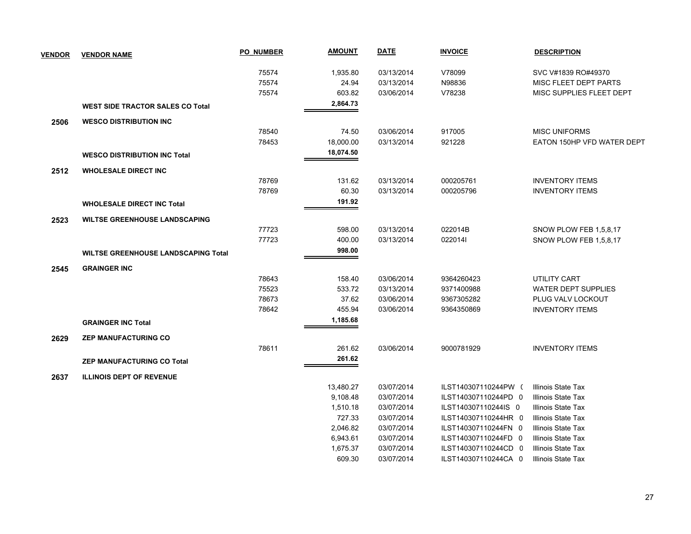| <b>VENDOR</b> | <b>VENDOR NAME</b>                         | <b>PO NUMBER</b> | <u>AMOUNT</u> | <b>DATE</b> | <b>INVOICE</b>       | <b>DESCRIPTION</b>         |
|---------------|--------------------------------------------|------------------|---------------|-------------|----------------------|----------------------------|
|               |                                            | 75574            | 1,935.80      | 03/13/2014  | V78099               | SVC V#1839 RO#49370        |
|               |                                            | 75574            | 24.94         | 03/13/2014  | N98836               | MISC FLEET DEPT PARTS      |
|               |                                            | 75574            | 603.82        | 03/06/2014  | V78238               | MISC SUPPLIES FLEET DEPT   |
|               | <b>WEST SIDE TRACTOR SALES CO Total</b>    |                  | 2,864.73      |             |                      |                            |
| 2506          | <b>WESCO DISTRIBUTION INC</b>              |                  |               |             |                      |                            |
|               |                                            | 78540            | 74.50         | 03/06/2014  | 917005               | <b>MISC UNIFORMS</b>       |
|               |                                            | 78453            | 18,000.00     | 03/13/2014  | 921228               | EATON 150HP VFD WATER DEPT |
|               | <b>WESCO DISTRIBUTION INC Total</b>        |                  | 18,074.50     |             |                      |                            |
| 2512          | <b>WHOLESALE DIRECT INC</b>                |                  |               |             |                      |                            |
|               |                                            | 78769            | 131.62        | 03/13/2014  | 000205761            | <b>INVENTORY ITEMS</b>     |
|               |                                            | 78769            | 60.30         | 03/13/2014  | 000205796            | <b>INVENTORY ITEMS</b>     |
|               | <b>WHOLESALE DIRECT INC Total</b>          |                  | 191.92        |             |                      |                            |
| 2523          | <b>WILTSE GREENHOUSE LANDSCAPING</b>       |                  |               |             |                      |                            |
|               |                                            | 77723            | 598.00        | 03/13/2014  | 022014B              | SNOW PLOW FEB 1,5,8,17     |
|               |                                            | 77723            | 400.00        | 03/13/2014  | 0220141              | SNOW PLOW FEB 1,5,8,17     |
|               | <b>WILTSE GREENHOUSE LANDSCAPING Total</b> |                  | 998.00        |             |                      |                            |
| 2545          | <b>GRAINGER INC</b>                        |                  |               |             |                      |                            |
|               |                                            | 78643            | 158.40        | 03/06/2014  | 9364260423           | <b>UTILITY CART</b>        |
|               |                                            | 75523            | 533.72        | 03/13/2014  | 9371400988           | <b>WATER DEPT SUPPLIES</b> |
|               |                                            | 78673            | 37.62         | 03/06/2014  | 9367305282           | PLUG VALV LOCKOUT          |
|               |                                            | 78642            | 455.94        | 03/06/2014  | 9364350869           | <b>INVENTORY ITEMS</b>     |
|               | <b>GRAINGER INC Total</b>                  |                  | 1,185.68      |             |                      |                            |
| 2629          | <b>ZEP MANUFACTURING CO</b>                |                  |               |             |                      |                            |
|               |                                            | 78611            | 261.62        | 03/06/2014  | 9000781929           | <b>INVENTORY ITEMS</b>     |
|               | ZEP MANUFACTURING CO Total                 |                  | 261.62        |             |                      |                            |
| 2637          | <b>ILLINOIS DEPT OF REVENUE</b>            |                  |               |             |                      |                            |
|               |                                            |                  | 13,480.27     | 03/07/2014  | ILST140307110244PW ( | Illinois State Tax         |
|               |                                            |                  | 9,108.48      | 03/07/2014  | ILST140307110244PD 0 | Illinois State Tax         |
|               |                                            |                  | 1,510.18      | 03/07/2014  | ILST140307110244IS 0 | Illinois State Tax         |
|               |                                            |                  | 727.33        | 03/07/2014  | ILST140307110244HR 0 | Illinois State Tax         |
|               |                                            |                  | 2,046.82      | 03/07/2014  | ILST140307110244FN 0 | Illinois State Tax         |
|               |                                            |                  | 6,943.61      | 03/07/2014  | ILST140307110244FD 0 | Illinois State Tax         |
|               |                                            |                  | 1,675.37      | 03/07/2014  | ILST140307110244CD 0 | Illinois State Tax         |
|               |                                            |                  | 609.30        | 03/07/2014  | ILST140307110244CA 0 | Illinois State Tax         |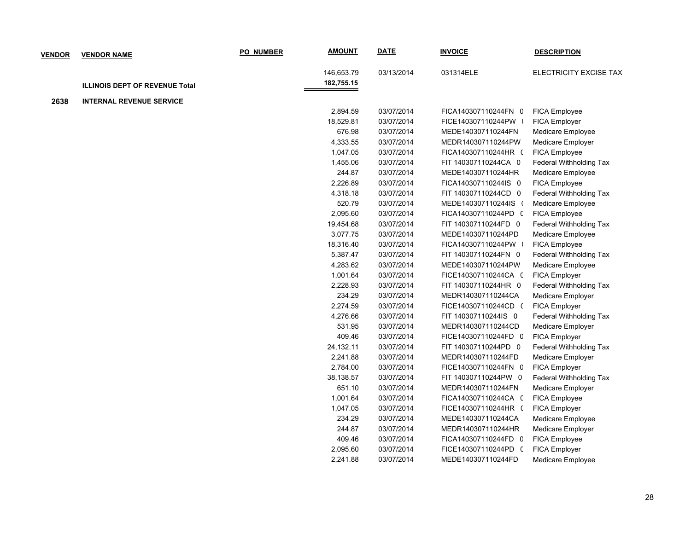| <b>VENDOR</b> | <b>VENDOR NAME</b>                    | <b>PO NUMBER</b> | <b>AMOUNT</b> | <b>DATE</b> | <b>INVOICE</b>       | <b>DESCRIPTION</b>      |
|---------------|---------------------------------------|------------------|---------------|-------------|----------------------|-------------------------|
|               |                                       |                  | 146,653.79    | 03/13/2014  | 031314ELE            | ELECTRICITY EXCISE TAX  |
|               |                                       |                  | 182,755.15    |             |                      |                         |
|               | <b>ILLINOIS DEPT OF REVENUE Total</b> |                  |               |             |                      |                         |
| 2638          | <b>INTERNAL REVENUE SERVICE</b>       |                  |               |             |                      |                         |
|               |                                       |                  | 2,894.59      | 03/07/2014  | FICA140307110244FN C | <b>FICA Employee</b>    |
|               |                                       |                  | 18,529.81     | 03/07/2014  | FICE140307110244PW   | FICA Employer           |
|               |                                       |                  | 676.98        | 03/07/2014  | MEDE140307110244FN   | Medicare Employee       |
|               |                                       |                  | 4,333.55      | 03/07/2014  | MEDR140307110244PW   | Medicare Employer       |
|               |                                       |                  | 1,047.05      | 03/07/2014  | FICA140307110244HR ( | FICA Employee           |
|               |                                       |                  | 1,455.06      | 03/07/2014  | FIT 140307110244CA 0 | Federal Withholding Tax |
|               |                                       |                  | 244.87        | 03/07/2014  | MEDE140307110244HR   | Medicare Employee       |
|               |                                       |                  | 2,226.89      | 03/07/2014  | FICA140307110244IS 0 | FICA Employee           |
|               |                                       |                  | 4,318.18      | 03/07/2014  | FIT 140307110244CD 0 | Federal Withholding Tax |
|               |                                       |                  | 520.79        | 03/07/2014  | MEDE140307110244IS ( | Medicare Employee       |
|               |                                       |                  | 2,095.60      | 03/07/2014  | FICA140307110244PD ( | FICA Employee           |
|               |                                       |                  | 19,454.68     | 03/07/2014  | FIT 140307110244FD 0 | Federal Withholding Tax |
|               |                                       |                  | 3,077.75      | 03/07/2014  | MEDE140307110244PD   | Medicare Employee       |
|               |                                       |                  | 18,316.40     | 03/07/2014  | FICA140307110244PW   | FICA Employee           |
|               |                                       |                  | 5,387.47      | 03/07/2014  | FIT 140307110244FN 0 | Federal Withholding Tax |
|               |                                       |                  | 4,283.62      | 03/07/2014  | MEDE140307110244PW   | Medicare Employee       |
|               |                                       |                  | 1,001.64      | 03/07/2014  | FICE140307110244CA ( | FICA Employer           |
|               |                                       |                  | 2,228.93      | 03/07/2014  | FIT 140307110244HR 0 | Federal Withholding Tax |
|               |                                       |                  | 234.29        | 03/07/2014  | MEDR140307110244CA   | Medicare Employer       |
|               |                                       |                  | 2,274.59      | 03/07/2014  | FICE140307110244CD ( | FICA Employer           |
|               |                                       |                  | 4,276.66      | 03/07/2014  | FIT 140307110244IS 0 | Federal Withholding Tax |
|               |                                       |                  | 531.95        | 03/07/2014  | MEDR140307110244CD   | Medicare Employer       |
|               |                                       |                  | 409.46        | 03/07/2014  | FICE140307110244FD 0 | <b>FICA Employer</b>    |
|               |                                       |                  | 24,132.11     | 03/07/2014  | FIT 140307110244PD 0 | Federal Withholding Tax |
|               |                                       |                  | 2,241.88      | 03/07/2014  | MEDR140307110244FD   | Medicare Employer       |
|               |                                       |                  | 2,784.00      | 03/07/2014  | FICE140307110244FN C | FICA Employer           |
|               |                                       |                  | 38,138.57     | 03/07/2014  | FIT 140307110244PW 0 | Federal Withholding Tax |
|               |                                       |                  | 651.10        | 03/07/2014  | MEDR140307110244FN   | Medicare Employer       |
|               |                                       |                  | 1,001.64      | 03/07/2014  | FICA140307110244CA ( | FICA Employee           |
|               |                                       |                  | 1,047.05      | 03/07/2014  | FICE140307110244HR ( | FICA Employer           |
|               |                                       |                  | 234.29        | 03/07/2014  | MEDE140307110244CA   | Medicare Employee       |
|               |                                       |                  | 244.87        | 03/07/2014  | MEDR140307110244HR   | Medicare Employer       |
|               |                                       |                  | 409.46        | 03/07/2014  | FICA140307110244FD 0 | FICA Employee           |
|               |                                       |                  | 2,095.60      | 03/07/2014  | FICE140307110244PD ( | FICA Employer           |
|               |                                       |                  | 2,241.88      | 03/07/2014  | MEDE140307110244FD   | Medicare Employee       |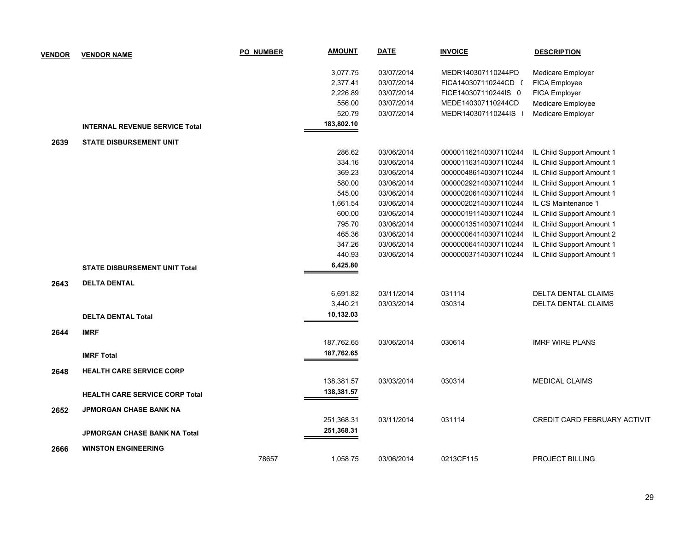| <b>VENDOR</b> | <b>VENDOR NAME</b>                    | <b>PO NUMBER</b> | <b>AMOUNT</b> | <b>DATE</b> | <b>INVOICE</b>        | <b>DESCRIPTION</b>           |
|---------------|---------------------------------------|------------------|---------------|-------------|-----------------------|------------------------------|
|               |                                       |                  | 3,077.75      | 03/07/2014  | MEDR140307110244PD    | Medicare Employer            |
|               |                                       |                  | 2,377.41      | 03/07/2014  | FICA140307110244CD (  | FICA Employee                |
|               |                                       |                  | 2,226.89      | 03/07/2014  | FICE140307110244IS 0  | FICA Employer                |
|               |                                       |                  | 556.00        | 03/07/2014  | MEDE140307110244CD    | Medicare Employee            |
|               |                                       |                  | 520.79        | 03/07/2014  | MEDR140307110244IS    | Medicare Employer            |
|               | <b>INTERNAL REVENUE SERVICE Total</b> |                  | 183,802.10    |             |                       |                              |
| 2639          | <b>STATE DISBURSEMENT UNIT</b>        |                  |               |             |                       |                              |
|               |                                       |                  | 286.62        | 03/06/2014  | 000001162140307110244 | IL Child Support Amount 1    |
|               |                                       |                  | 334.16        | 03/06/2014  | 000001163140307110244 | IL Child Support Amount 1    |
|               |                                       |                  | 369.23        | 03/06/2014  | 000000486140307110244 | IL Child Support Amount 1    |
|               |                                       |                  | 580.00        | 03/06/2014  | 000000292140307110244 | IL Child Support Amount 1    |
|               |                                       |                  | 545.00        | 03/06/2014  | 000000206140307110244 | IL Child Support Amount 1    |
|               |                                       |                  | 1,661.54      | 03/06/2014  | 000000202140307110244 | IL CS Maintenance 1          |
|               |                                       |                  | 600.00        | 03/06/2014  | 000000191140307110244 | IL Child Support Amount 1    |
|               |                                       |                  | 795.70        | 03/06/2014  | 000000135140307110244 | IL Child Support Amount 1    |
|               |                                       |                  | 465.36        | 03/06/2014  | 000000064140307110244 | IL Child Support Amount 2    |
|               |                                       |                  | 347.26        | 03/06/2014  | 000000064140307110244 | IL Child Support Amount 1    |
|               |                                       |                  | 440.93        | 03/06/2014  | 000000037140307110244 | IL Child Support Amount 1    |
|               | <b>STATE DISBURSEMENT UNIT Total</b>  |                  | 6,425.80      |             |                       |                              |
| 2643          | <b>DELTA DENTAL</b>                   |                  |               |             |                       |                              |
|               |                                       |                  | 6,691.82      | 03/11/2014  | 031114                | <b>DELTA DENTAL CLAIMS</b>   |
|               |                                       |                  | 3,440.21      | 03/03/2014  | 030314                | DELTA DENTAL CLAIMS          |
|               | <b>DELTA DENTAL Total</b>             |                  | 10,132.03     |             |                       |                              |
| 2644          | <b>IMRF</b>                           |                  |               |             |                       |                              |
|               |                                       |                  | 187,762.65    | 03/06/2014  | 030614                | <b>IMRF WIRE PLANS</b>       |
|               | <b>IMRF Total</b>                     |                  | 187,762.65    |             |                       |                              |
|               |                                       |                  |               |             |                       |                              |
| 2648          | <b>HEALTH CARE SERVICE CORP</b>       |                  |               |             |                       |                              |
|               |                                       |                  | 138,381.57    | 03/03/2014  | 030314                | <b>MEDICAL CLAIMS</b>        |
|               | <b>HEALTH CARE SERVICE CORP Total</b> |                  | 138,381.57    |             |                       |                              |
| 2652          | <b>JPMORGAN CHASE BANK NA</b>         |                  |               |             |                       |                              |
|               |                                       |                  | 251,368.31    | 03/11/2014  | 031114                | CREDIT CARD FEBRUARY ACTIVIT |
|               | JPMORGAN CHASE BANK NA Total          |                  | 251,368.31    |             |                       |                              |
| 2666          | <b>WINSTON ENGINEERING</b>            |                  |               |             |                       |                              |
|               |                                       | 78657            | 1,058.75      | 03/06/2014  | 0213CF115             | <b>PROJECT BILLING</b>       |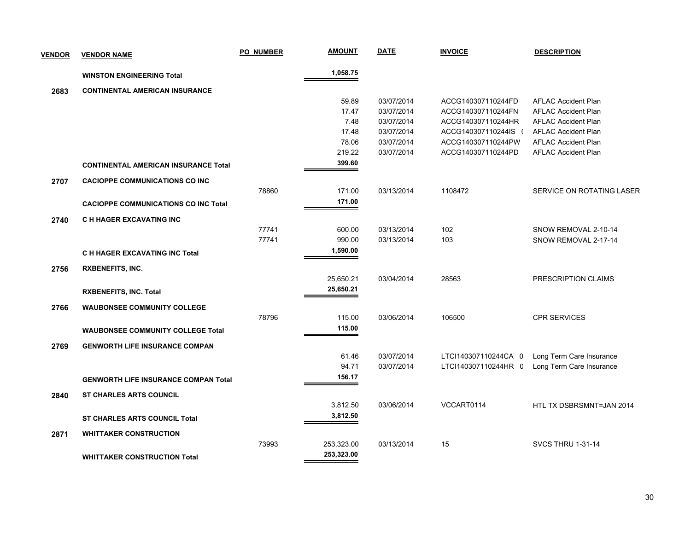| <b>VENDOR</b> | <b>VENDOR NAME</b>                          | <b>PO NUMBER</b> | <b>AMOUNT</b> | <b>DATE</b> | <b>INVOICE</b>       | <b>DESCRIPTION</b>         |
|---------------|---------------------------------------------|------------------|---------------|-------------|----------------------|----------------------------|
|               | <b>WINSTON ENGINEERING Total</b>            |                  | 1,058.75      |             |                      |                            |
| 2683          | <b>CONTINENTAL AMERICAN INSURANCE</b>       |                  |               |             |                      |                            |
|               |                                             |                  | 59.89         | 03/07/2014  | ACCG140307110244FD   | <b>AFLAC Accident Plan</b> |
|               |                                             |                  | 17.47         | 03/07/2014  | ACCG140307110244FN   | <b>AFLAC Accident Plan</b> |
|               |                                             |                  | 7.48          | 03/07/2014  | ACCG140307110244HR   | <b>AFLAC Accident Plan</b> |
|               |                                             |                  | 17.48         | 03/07/2014  | ACCG140307110244IS   | <b>AFLAC Accident Plan</b> |
|               |                                             |                  | 78.06         | 03/07/2014  | ACCG140307110244PW   | <b>AFLAC Accident Plan</b> |
|               |                                             |                  | 219.22        | 03/07/2014  | ACCG140307110244PD   | <b>AFLAC Accident Plan</b> |
|               | <b>CONTINENTAL AMERICAN INSURANCE Total</b> |                  | 399.60        |             |                      |                            |
| 2707          | <b>CACIOPPE COMMUNICATIONS CO INC</b>       |                  |               |             |                      |                            |
|               |                                             | 78860            | 171.00        | 03/13/2014  | 1108472              | SERVICE ON ROTATING LASER  |
|               | <b>CACIOPPE COMMUNICATIONS CO INC Total</b> |                  | 171.00        |             |                      |                            |
| 2740          | <b>C H HAGER EXCAVATING INC</b>             |                  |               |             |                      |                            |
|               |                                             | 77741            | 600.00        | 03/13/2014  | 102                  | SNOW REMOVAL 2-10-14       |
|               |                                             | 77741            | 990.00        | 03/13/2014  | 103                  | SNOW REMOVAL 2-17-14       |
|               | C H HAGER EXCAVATING INC Total              |                  | 1,590.00      |             |                      |                            |
| 2756          | <b>RXBENEFITS, INC.</b>                     |                  |               |             |                      |                            |
|               |                                             |                  | 25,650.21     | 03/04/2014  | 28563                | PRESCRIPTION CLAIMS        |
|               | <b>RXBENEFITS, INC. Total</b>               |                  | 25,650.21     |             |                      |                            |
| 2766          | <b>WAUBONSEE COMMUNITY COLLEGE</b>          |                  |               |             |                      |                            |
|               |                                             | 78796            | 115.00        | 03/06/2014  | 106500               | <b>CPR SERVICES</b>        |
|               | <b>WAUBONSEE COMMUNITY COLLEGE Total</b>    |                  | 115.00        |             |                      |                            |
| 2769          | <b>GENWORTH LIFE INSURANCE COMPAN</b>       |                  |               |             |                      |                            |
|               |                                             |                  | 61.46         | 03/07/2014  | LTCI140307110244CA 0 | Long Term Care Insurance   |
|               |                                             |                  | 94.71         | 03/07/2014  | LTCI140307110244HR C | Long Term Care Insurance   |
|               | <b>GENWORTH LIFE INSURANCE COMPAN Total</b> |                  | 156.17        |             |                      |                            |
| 2840          | <b>ST CHARLES ARTS COUNCIL</b>              |                  |               |             |                      |                            |
|               |                                             |                  | 3,812.50      | 03/06/2014  | VCCART0114           | HTL TX DSBRSMNT=JAN 2014   |
|               | <b>ST CHARLES ARTS COUNCIL Total</b>        |                  | 3,812.50      |             |                      |                            |
| 2871          | <b>WHITTAKER CONSTRUCTION</b>               |                  |               |             |                      |                            |
|               |                                             | 73993            | 253,323.00    | 03/13/2014  | 15                   | <b>SVCS THRU 1-31-14</b>   |
|               | <b>WHITTAKER CONSTRUCTION Total</b>         |                  | 253,323.00    |             |                      |                            |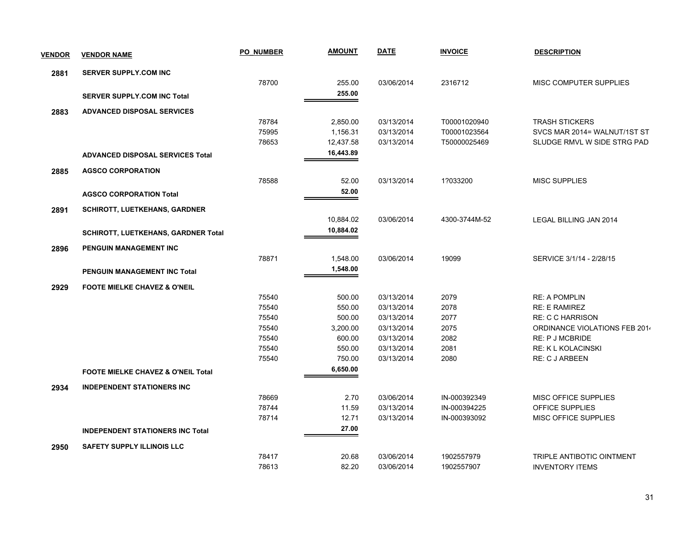| <b>VENDOR</b> | <b>VENDOR NAME</b>                            | <b>PO NUMBER</b> | <b>AMOUNT</b> | <b>DATE</b> | <b>INVOICE</b> | <b>DESCRIPTION</b>            |
|---------------|-----------------------------------------------|------------------|---------------|-------------|----------------|-------------------------------|
| 2881          | <b>SERVER SUPPLY.COM INC</b>                  |                  |               |             |                |                               |
|               |                                               | 78700            | 255.00        | 03/06/2014  | 2316712        | MISC COMPUTER SUPPLIES        |
|               | <b>SERVER SUPPLY.COM INC Total</b>            |                  | 255.00        |             |                |                               |
| 2883          | <b>ADVANCED DISPOSAL SERVICES</b>             |                  |               |             |                |                               |
|               |                                               | 78784            | 2,850.00      | 03/13/2014  | T00001020940   | <b>TRASH STICKERS</b>         |
|               |                                               | 75995            | 1,156.31      | 03/13/2014  | T00001023564   | SVCS MAR 2014= WALNUT/1ST ST  |
|               |                                               | 78653            | 12,437.58     | 03/13/2014  | T50000025469   | SLUDGE RMVL W SIDE STRG PAD   |
|               | <b>ADVANCED DISPOSAL SERVICES Total</b>       |                  | 16,443.89     |             |                |                               |
| 2885          | <b>AGSCO CORPORATION</b>                      |                  |               |             |                |                               |
|               |                                               | 78588            | 52.00         | 03/13/2014  | 1?033200       | <b>MISC SUPPLIES</b>          |
|               | <b>AGSCO CORPORATION Total</b>                |                  | 52.00         |             |                |                               |
| 2891          | <b>SCHIROTT, LUETKEHANS, GARDNER</b>          |                  |               |             |                |                               |
|               |                                               |                  | 10,884.02     | 03/06/2014  | 4300-3744M-52  | LEGAL BILLING JAN 2014        |
|               | <b>SCHIROTT, LUETKEHANS, GARDNER Total</b>    |                  | 10,884.02     |             |                |                               |
| 2896          | PENGUIN MANAGEMENT INC                        |                  |               |             |                |                               |
|               |                                               | 78871            | 1,548.00      | 03/06/2014  | 19099          | SERVICE 3/1/14 - 2/28/15      |
|               | <b>PENGUIN MANAGEMENT INC Total</b>           |                  | 1,548.00      |             |                |                               |
| 2929          | <b>FOOTE MIELKE CHAVEZ &amp; O'NEIL</b>       |                  |               |             |                |                               |
|               |                                               | 75540            | 500.00        | 03/13/2014  | 2079           | <b>RE: A POMPLIN</b>          |
|               |                                               | 75540            | 550.00        | 03/13/2014  | 2078           | <b>RE: E RAMIREZ</b>          |
|               |                                               | 75540            | 500.00        | 03/13/2014  | 2077           | <b>RE: C C HARRISON</b>       |
|               |                                               | 75540            | 3,200.00      | 03/13/2014  | 2075           | ORDINANCE VIOLATIONS FEB 2014 |
|               |                                               | 75540            | 600.00        | 03/13/2014  | 2082           | <b>RE: P J MCBRIDE</b>        |
|               |                                               | 75540            | 550.00        | 03/13/2014  | 2081           | <b>RE: K L KOLACINSKI</b>     |
|               |                                               | 75540            | 750.00        | 03/13/2014  | 2080           | RE: C J ARBEEN                |
|               | <b>FOOTE MIELKE CHAVEZ &amp; O'NEIL Total</b> |                  | 6,650.00      |             |                |                               |
| 2934          | <b>INDEPENDENT STATIONERS INC</b>             |                  |               |             |                |                               |
|               |                                               | 78669            | 2.70          | 03/06/2014  | IN-000392349   | <b>MISC OFFICE SUPPLIES</b>   |
|               |                                               | 78744            | 11.59         | 03/13/2014  | IN-000394225   | OFFICE SUPPLIES               |
|               |                                               | 78714            | 12.71         | 03/13/2014  | IN-000393092   | <b>MISC OFFICE SUPPLIES</b>   |
|               | <b>INDEPENDENT STATIONERS INC Total</b>       |                  | 27.00         |             |                |                               |
| 2950          | <b>SAFETY SUPPLY ILLINOIS LLC</b>             |                  |               |             |                |                               |
|               |                                               | 78417            | 20.68         | 03/06/2014  | 1902557979     | TRIPLE ANTIBOTIC OINTMENT     |
|               |                                               | 78613            | 82.20         | 03/06/2014  | 1902557907     | <b>INVENTORY ITEMS</b>        |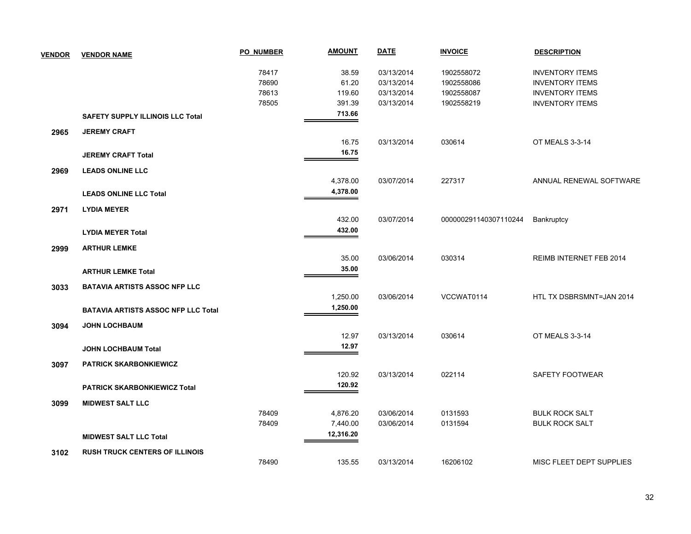| <b>VENDOR</b> | <b>VENDOR NAME</b>                         | <b>PO NUMBER</b> | <b>AMOUNT</b> | <b>DATE</b> | <b>INVOICE</b>        | <b>DESCRIPTION</b>       |
|---------------|--------------------------------------------|------------------|---------------|-------------|-----------------------|--------------------------|
|               |                                            | 78417            | 38.59         | 03/13/2014  | 1902558072            | <b>INVENTORY ITEMS</b>   |
|               |                                            | 78690            | 61.20         | 03/13/2014  | 1902558086            | <b>INVENTORY ITEMS</b>   |
|               |                                            | 78613            | 119.60        | 03/13/2014  | 1902558087            | <b>INVENTORY ITEMS</b>   |
|               |                                            | 78505            | 391.39        | 03/13/2014  | 1902558219            | <b>INVENTORY ITEMS</b>   |
|               | <b>SAFETY SUPPLY ILLINOIS LLC Total</b>    |                  | 713.66        |             |                       |                          |
| 2965          | <b>JEREMY CRAFT</b>                        |                  |               |             |                       |                          |
|               |                                            |                  | 16.75         | 03/13/2014  | 030614                | OT MEALS 3-3-14          |
|               | <b>JEREMY CRAFT Total</b>                  |                  | 16.75         |             |                       |                          |
| 2969          | <b>LEADS ONLINE LLC</b>                    |                  |               |             |                       |                          |
|               |                                            |                  | 4,378.00      | 03/07/2014  | 227317                | ANNUAL RENEWAL SOFTWARE  |
|               | <b>LEADS ONLINE LLC Total</b>              |                  | 4,378.00      |             |                       |                          |
| 2971          | <b>LYDIA MEYER</b>                         |                  |               |             |                       |                          |
|               |                                            |                  | 432.00        | 03/07/2014  | 000000291140307110244 | <b>Bankruptcy</b>        |
|               | <b>LYDIA MEYER Total</b>                   |                  | 432.00        |             |                       |                          |
| 2999          | <b>ARTHUR LEMKE</b>                        |                  |               |             |                       |                          |
|               |                                            |                  | 35.00         | 03/06/2014  | 030314                | REIMB INTERNET FEB 2014  |
|               | <b>ARTHUR LEMKE Total</b>                  |                  | 35.00         |             |                       |                          |
| 3033          | <b>BATAVIA ARTISTS ASSOC NFP LLC</b>       |                  |               |             |                       |                          |
|               |                                            |                  | 1,250.00      | 03/06/2014  | VCCWAT0114            | HTL TX DSBRSMNT=JAN 2014 |
|               | <b>BATAVIA ARTISTS ASSOC NFP LLC Total</b> |                  | 1,250.00      |             |                       |                          |
| 3094          | <b>JOHN LOCHBAUM</b>                       |                  |               |             |                       |                          |
|               |                                            |                  | 12.97         | 03/13/2014  | 030614                | OT MEALS 3-3-14          |
|               | <b>JOHN LOCHBAUM Total</b>                 |                  | 12.97         |             |                       |                          |
| 3097          | <b>PATRICK SKARBONKIEWICZ</b>              |                  |               |             |                       |                          |
|               |                                            |                  | 120.92        | 03/13/2014  | 022114                | SAFETY FOOTWEAR          |
|               | <b>PATRICK SKARBONKIEWICZ Total</b>        |                  | 120.92        |             |                       |                          |
| 3099          | <b>MIDWEST SALT LLC</b>                    |                  |               |             |                       |                          |
|               |                                            | 78409            | 4,876.20      | 03/06/2014  | 0131593               | <b>BULK ROCK SALT</b>    |
|               |                                            | 78409            | 7,440.00      | 03/06/2014  | 0131594               | <b>BULK ROCK SALT</b>    |
|               | <b>MIDWEST SALT LLC Total</b>              |                  | 12,316.20     |             |                       |                          |
| 3102          | <b>RUSH TRUCK CENTERS OF ILLINOIS</b>      |                  |               |             |                       |                          |
|               |                                            | 78490            | 135.55        | 03/13/2014  | 16206102              | MISC FLEET DEPT SUPPLIES |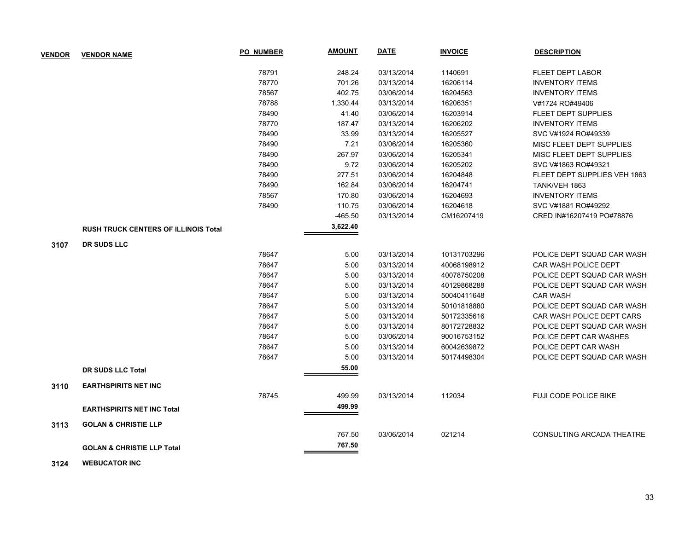| <b>VENDOR</b> | <b>VENDOR NAME</b>                          | PO NUMBER | <b>AMOUNT</b> | <b>DATE</b> | <b>INVOICE</b> | <b>DESCRIPTION</b>           |
|---------------|---------------------------------------------|-----------|---------------|-------------|----------------|------------------------------|
|               |                                             | 78791     | 248.24        | 03/13/2014  | 1140691        | <b>FLEET DEPT LABOR</b>      |
|               |                                             | 78770     | 701.26        | 03/13/2014  | 16206114       | <b>INVENTORY ITEMS</b>       |
|               |                                             | 78567     | 402.75        | 03/06/2014  | 16204563       | <b>INVENTORY ITEMS</b>       |
|               |                                             | 78788     | 1,330.44      | 03/13/2014  | 16206351       | V#1724 RO#49406              |
|               |                                             | 78490     | 41.40         | 03/06/2014  | 16203914       | <b>FLEET DEPT SUPPLIES</b>   |
|               |                                             | 78770     | 187.47        | 03/13/2014  | 16206202       | <b>INVENTORY ITEMS</b>       |
|               |                                             | 78490     | 33.99         | 03/13/2014  | 16205527       | SVC V#1924 RO#49339          |
|               |                                             | 78490     | 7.21          | 03/06/2014  | 16205360       | MISC FLEET DEPT SUPPLIES     |
|               |                                             | 78490     | 267.97        | 03/06/2014  | 16205341       | MISC FLEET DEPT SUPPLIES     |
|               |                                             | 78490     | 9.72          | 03/06/2014  | 16205202       | SVC V#1863 RO#49321          |
|               |                                             | 78490     | 277.51        | 03/06/2014  | 16204848       | FLEET DEPT SUPPLIES VEH 1863 |
|               |                                             | 78490     | 162.84        | 03/06/2014  | 16204741       | TANK/VEH 1863                |
|               |                                             | 78567     | 170.80        | 03/06/2014  | 16204693       | <b>INVENTORY ITEMS</b>       |
|               |                                             | 78490     | 110.75        | 03/06/2014  | 16204618       | SVC V#1881 RO#49292          |
|               |                                             |           | $-465.50$     | 03/13/2014  | CM16207419     | CRED IN#16207419 PO#78876    |
|               | <b>RUSH TRUCK CENTERS OF ILLINOIS Total</b> |           | 3,622.40      |             |                |                              |
| 3107          | <b>DR SUDS LLC</b>                          |           |               |             |                |                              |
|               |                                             | 78647     | 5.00          | 03/13/2014  | 10131703296    | POLICE DEPT SQUAD CAR WASH   |
|               |                                             | 78647     | 5.00          | 03/13/2014  | 40068198912    | CAR WASH POLICE DEPT         |
|               |                                             | 78647     | 5.00          | 03/13/2014  | 40078750208    | POLICE DEPT SQUAD CAR WASH   |
|               |                                             | 78647     | 5.00          | 03/13/2014  | 40129868288    | POLICE DEPT SQUAD CAR WASH   |
|               |                                             | 78647     | 5.00          | 03/13/2014  | 50040411648    | <b>CAR WASH</b>              |
|               |                                             | 78647     | 5.00          | 03/13/2014  | 50101818880    | POLICE DEPT SQUAD CAR WASH   |
|               |                                             | 78647     | 5.00          | 03/13/2014  | 50172335616    | CAR WASH POLICE DEPT CARS    |
|               |                                             | 78647     | 5.00          | 03/13/2014  | 80172728832    | POLICE DEPT SQUAD CAR WASH   |
|               |                                             | 78647     | 5.00          | 03/06/2014  | 90016753152    | POLICE DEPT CAR WASHES       |
|               |                                             | 78647     | 5.00          | 03/13/2014  | 60042639872    | POLICE DEPT CAR WASH         |
|               |                                             | 78647     | 5.00          | 03/13/2014  | 50174498304    | POLICE DEPT SQUAD CAR WASH   |
|               | <b>DR SUDS LLC Total</b>                    |           | 55.00         |             |                |                              |
| 3110          | <b>EARTHSPIRITS NET INC</b>                 |           |               |             |                |                              |
|               |                                             | 78745     | 499.99        | 03/13/2014  | 112034         | <b>FUJI CODE POLICE BIKE</b> |
|               | <b>EARTHSPIRITS NET INC Total</b>           |           | 499.99        |             |                |                              |
| 3113          | <b>GOLAN &amp; CHRISTIE LLP</b>             |           |               |             |                |                              |
|               |                                             |           | 767.50        | 03/06/2014  | 021214         | CONSULTING ARCADA THEATRE    |
|               | <b>GOLAN &amp; CHRISTIE LLP Total</b>       |           | 767.50        |             |                |                              |

 **3124 WEBUCATOR INC**